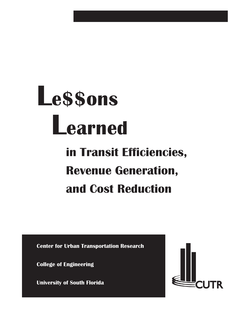# Le\$\$ons Learned

# in Transit Efficiencies, Revenue Generation, and Cost Reduction

Center for Urban Transportation Research

College of Engineering

University of South Florida

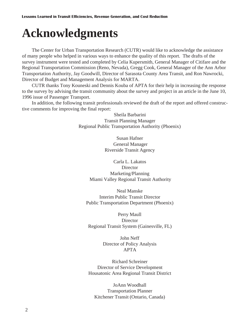# **Acknowledgments**

The Center for Urban Transportation Research (CUTR) would like to acknowledge the assistance of many people who helped in various ways to enhance the quality of this report. The drafts of the survey instrument were tested and completed by Celia Kupersmith, General Manager of Citifare and the Regional Transportation Commission (Reno, Nevada), Gregg Cook, General Manager of the Ann Arbor Transportation Authority, Jay Goodwill, Director of Sarasota County Area Transit, and Ron Nawrocki, Director of Budget and Management Analysis for MARTA.

CUTR thanks Tony Kouneski and Dennis Kouba of APTA for their help in increasing the response to the survey by advising the transit community about the survey and project in an article in the June 10, 1996 issue of Passenger Transport.

In addition, the following transit professionals reviewed the draft of the report and offered constructive comments for improving the final report:

> Sheila Barbarini Transit Planning Manager Regional Public Transportation Authority (Phoenix)

> > Susan Hafner General Manager Riverside Transit Agency

Carla L. Lakatos Director Marketing/Planning Miami Valley Regional Transit Authority

Neal Manske Interim Public Transit Director Public Transportation Department (Phoenix)

Perry Maull Director Regional Transit System (Gainesville, FL)

> John Neff Director of Policy Analysis APTA

Richard Schreiner Director of Service Development Housatonic Area Regional Transit District

JoAnn Woodhall Transportation Planner Kitchener Transit (Ontario, Canada)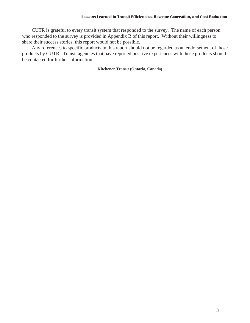CUTR is grateful to every transit system that responded to the survey. The name of each person who responded to the survey is provided in Appendix B of this report. Without their willingness to share their success stories, this report would not be possible.

Any references to specific products in this report should not be regarded as an endorsement of those products by CUTR. Transit agencies that have reported positive experiences with those products should be contacted for further information.

### **Kitchener Transit (Ontario, Canada)**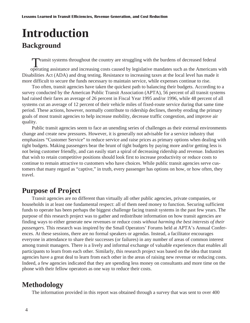# **Introduction Background**

Transit systems throughout the country are struggling with the burdens of decreased federal

operating assistance and increasing costs caused by legislative mandates such as the Americans with Disabilities Act (ADA) and drug testing. Resistance to increasing taxes at the local level has made it more difficult to secure the funds necessary to maintain service, while expenses continue to rise.

Too often, transit agencies have taken the quickest path to balancing their budgets. According to a survey conducted by the American Public Transit Association (APTA), 56 percent of all transit systems had raised their fares an average of 26 percent in Fiscal Year 1995 and/or 1996, while 48 percent of all systems cut an average of 12 percent of their vehicle miles of fixed-route service during that same time period. These actions, however, normally contribute to ridership declines, thereby eroding the primary goals of most transit agencies to help increase mobility, decrease traffic congestion, and improve air quality.

Public transit agencies seem to face an unending series of challenges as their external environments change and create new pressures. However, it is generally not advisable for a service industry that emphasizes "Customer Service" to reduce service and raise prices as primary options when dealing with tight budgets. Making passengers bear the brunt of tight budgets by paying more and/or getting less is not being customer friendly, and can easily start a spiral of decreasing ridership and revenue. Industries that wish to retain competitive positions should look first to increase productivity or reduce costs to continue to remain attractive to customers who have choices. While public transit agencies serve customers that many regard as "captive," in truth, every passenger has options on how, or how often, they travel.

### **Purpose of Project**

Transit agencies are no different than virtually all other public agencies, private companies, or households in at least one fundamental respect: all of them need money to function. Securing sufficient funds to operate has been perhaps the biggest challenge facing transit systems in the past few years. The purpose of this research project was to gather and redistribute information on how transit agencies are finding ways to either generate new revenues or reduce costs *without harming the best interests of their passengers.* This research was inspired by the Small Operators' Forums held at APTA's Annual Conferences. At these sessions, there are no formal speakers or agendas. Instead, a facilitator encourages everyone in attendance to share their successes (or failures) in any number of areas of common interest among transit managers. There is a lively and informal exchange of valuable experiences that enables all participants to learn from each other. Similarly, this research project was based on the idea that transit agencies have a great deal to learn from each other in the areas of raising new revenue or reducing costs. Indeed, a few agencies indicated that they are spending less money on consultants and more time on the phone with their fellow operators as one way to reduce their costs.

### **Methodology**

The information provided in this report was obtained through a survey that was sent to over 400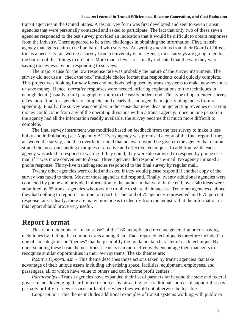transit agencies in the United States. A test survey form was first developed and sent to seven transit agencies that were personally contacted and asked to participate. The fact that only two of these seven agencies responded to the test survey provided an indication that it would be difficult to obtain responses from the industry. There appeared to be a few challenges in obtaining the information. First, transit agency managers claim to be bombarded with surveys. Answering questions from their Board of Directors is a necessity; answering a survey from a university is not. Hence, most surveys are going to go to the bottom of the "things to do" pile. More than a few sarcastically indicated that the way they were saving money was by not responding to surveys.

The major cause for the low response rate was probably the nature of the survey instrument. The survey did not use a "check the box" multiple choice format that respondents could quickly complete. This project was looking for *new* ideas and methods being used by transit systems to make new revenues or save money. Hence, *narrative* responses were needed, offering explanations of the techniques in enough detail (usually a full paragraph or more) to be easily understood. This type of open-ended survey takes more time for agencies to complete, and clearly discouraged the majority of agencies from responding. Finally, the survey was complex in the sense that new ideas on generating revenues or saving money could come from any of the operating divisions within a transit agency. Since no one person in the agency had all the information readily available, the survey became that much more difficult to complete.

The final survey instrument was modified based on feedback from the test survey to make it less bulky and intimidating (see Appendix A). Every agency was promised a copy of the final report if they answered the survey, and the cover letter noted that an award would be given to the agency that demonstrated the most outstanding examples of creative and effective techniques. In addition, while each agency was asked to respond in writing if they could, they were also advised to respond by phone or email if it was more convenient to do so. Three agencies did respond via e-mail. No agency initiated a phone response. Thirty-five transit agencies responded to the final survey by regular mail.

Twenty other agencies were called and asked if they would please respond if another copy of the survey was faxed to them. Most of those agencies did respond. Finally, twenty additional agencies were contacted by phone and provided information to the author in that way. In the end, over 340 ideas were submitted by 65 transit agencies who took the trouble to share their success. Ten other agencies claimed they had nothing to report or no time to report it. The total of 75 agencies represented an 18.75 percent response rate. Clearly, there are many more ideas to identify from the industry, but the information in this report should prove very useful.

### **Report Format**

This report attempts to "make sense" of the 180 unduplicated revenue generating or cost saving techniques by finding the common traits among them. Each reported technique is therefore included in one of six categories or "themes" that help simplify the fundamental character of each technique. By understanding these basic themes, transit leaders can more effectively encourage their managers to recognize similar opportunities in their own systems. The six themes are:

*Positive Opportunism* - This theme describes those actions taken by transit agencies that take advantage of their unique assets including advertising space, facilities, equipment, employees, and passengers, all of which have value to others and can become profit centers..

*Partnerships* - Transit agencies have expanded their list of partners far beyond the state and federal governments, leveraging their limited resources by attracting non-traditional sources of support that pay partially or fully for new services or facilities where they would not otherwise be feasible.

*Cooperation* - This theme includes additional examples of transit systems working with public or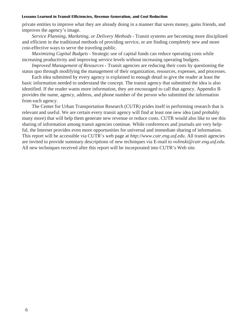private entities to improve what they are already doing in a manner that saves money, gains friends, and improves the agency's image.

*Service Planning, Marketing, or Delivery Methods* - Transit systems are becoming more disciplined and efficient in the traditional methods of providing service, or are finding completely new and more cost-effective ways to serve the traveling public.

*Maximizing Capital Budgets* - Strategic use of capital funds can reduce operating costs while increasing productivity and improving service levels without increasing operating budgets.

*Improved Management of Resources -* Transit agencies are reducing their costs by questioning the status quo through modifying the management of their organization, resources, expenses, and processes.

Each idea submitted by every agency is explained in enough detail to give the reader at least the basic information needed to understand the concept. The transit agency that submitted the idea is also identified. If the reader wants more information, they are encouraged to call that agency. Appendix B provides the name, agency, address, and phone number of the person who submitted the information from each agency.

The Center for Urban Transportation Research (CUTR) prides itself in performing research that is relevant and useful. We are certain every transit agency will find at least one new idea (and probably many more) that will help them generate new revenue or reduce costs. CUTR would also like to see this sharing of information among transit agencies continue. While conferences and journals are very helpful, the Internet provides even more opportunities for universal and immediate sharing of information. This report will be accessible via CUTR's web page at *http://www.cutr.eng.usf.edu*. All transit agencies are invited to provide summary descriptions of new techniques via E-mail to *volinski@cutr.eng.usf.edu*. All new techniques received after this report will be incorporated into CUTR's Web site.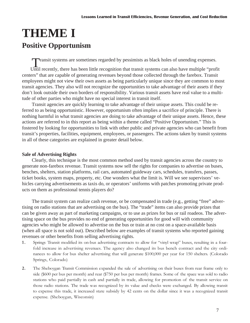## **THEME I Positive Opportunism**

Transit systems are sometimes regarded by pessimists as black holes of unending expenses.

Until recently, there has been little recognition that transit systems can also have multiple "profit centers" that are capable of generating revenues beyond those collected through the farebox. Transit employees might not view their own assets as being particularly unique since they are common to most transit agencies. They also will not recognize the opportunities to take advantage of their assets if they don't look outside their own borders of responsibility. Various transit assets have real value to a multitude of other parties who might have no special interest in transit itself.

Transit agencies are quickly learning to take advantage of their unique assets. This could be referred to as being opportunistic. However, opportunism often implies a sacrifice of principle. There is nothing harmful in what transit agencies are doing to take advantage of their unique assets. Hence, these actions are referred to in this report as being within a theme called "Positive Opportunism." This is fostered by looking for opportunities to link with other public and private agencies who can benefit from transit's properties, facilities, equipment, employees, or passengers. The actions taken by transit systems in all of these categories are explained in greater detail below.

### **Sale of Advertising Rights**

Clearly, this technique is the most common method used by transit agencies across the country to generate non-farebox revenue. Transit systems now sell the rights for companies to advertise on buses, benches, shelters, station platforms, rail cars, automated guideway cars, schedules, transfers, passes, ticket books, system maps, property, etc. One wonders what the limit is. Will we see supervisors' vehicles carrying advertisements as taxis do, or operators' uniforms with patches promoting private products on them as professional tennis players do?

The transit system can realize cash revenue, or be compensated in trade (e.g., getting "free" advertising on radio stations that are advertising on the bus). The "trade" items can also provide prizes that can be given away as part of marketing campaigns, or to use as prizes for bus or rail roadeos. The advertising space on the bus provides no end of generating opportunities for good will with community agencies who might be allowed to advertise on the bus or train at no cost on a space-available basis (when all space is not sold out). Described below are examples of transit systems who reported gaining revenues or other benefits from selling advertising rights.

- 1. Springs Transit modified its on-bus advertising contracts to allow for "vinyl wrap" buses, resulting in a fourfold increase in advertising revenues. The agency also changed its bus bench contract and the city ordinances to allow for bus shelter advertising that will generate \$100,000 per year for 150 shelters. (Colorado Springs, Colorado)
- 2. The Sheboygan Transit Commission expanded the sale of advertising on their buses from rear frame only to side (\$600 per bus per month) and rear (\$750 per bus per month) frames. Some of the space was sold to radio stations who paid partially in cash and partially in trade, allowing for promotion of the transit service on those radio stations. The trade was recognized by its value and checks were exchanged. By allowing transit to expense this trade, it increased state subsidy by 42 cents on the dollar since it was a recognized transit expense. (Sheboygan, Wisconsin)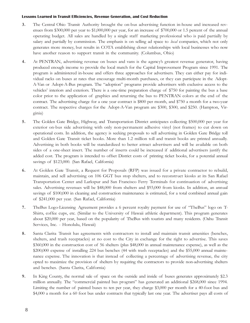- 3. The Central Ohio Transit Authority brought the on-bus advertising function in-house and increased revenues from \$300,000 per year to \$1,000,000 per year, for an increase of \$700,000 or 1.5 percent of the annual operating budget. All sales are handled by a single staff marketing professional who is paid partially by salary and partially by commission. The emphasis is on selling ad space to *local* companies, which not only generates more money, but results in COTA establishing closer relationships with local businesses who now have another reason to support transit in the community. (Columbus, Ohio)
- 4. At PENTRAN, advertising revenue on buses and vans is the agencys greatest revenue generator, having produced enough income to provide the local match for the Capital Improvement Program since 1991. The program is administered in-house and offers three approaches for advertisers. They can either pay for individual racks on buses at rates that encourage multi-month purchases, or they can participate in the Adopt-A-Van or Adopt-A-Bus program. The "adoption" programs provide advertisers with exclusive access to the vehicles' interiors and exteriors. There is a one-time preparation charge of \$750 for painting the bus a base color prior to the application of graphics and returning the bus to PENTRAN colors at the end of the contract. The advertising charge for a one year contract is \$800 per month, and \$750 a month for a two-year contract. The respective charges for the Adopt-A-Van program are \$300, \$300, and \$250. (Hampton, Virginia)
- 5. The Golden Gate Bridge, Highway, and Transportation District anticipates collecting \$500,000 per year for exterior on-bus side advertising with only non-permanent adhesive vinyl (not frames) to cut down on operational costs. In addition, the agency is seeking proposals to sell advertising in Golden Gate Bridge toll and Golden Gate Transit ticket books. More than 1.2 million toll and transit books are printed annually. Advertising in both books will be standardized to better attract advertisers and will be available on both sides of a one-sheet insert. The number of inserts could be increased if additional advertisers justify the added cost. The program is intended to offset District costs of printing ticket books, for a potential annual savings of \$123,000. (San Rafael, California)
- 6. At Golden Gate Transit, a Request for Proposals (RFP) was issued for a private contractor to rebuild, maintain, and sell advertising on 106 GGT bus stop shelters, and to reconstruct kiosks at its San Rafael Transportation Center and Larkspur and San Francisco Ferry Terminals for continuation of advertising sales. Advertising revenues will be \$48,000 from shelters and \$93,000 from kiosks. In addition, an annual savings of \$100,000 in cleaning and construction maintenance is estimated, for a total combined annual gain of \$241,000 per year. (San Rafael, California)
- 7. TheBus Logo-Licensing Agreement provides a 6 percent royalty payment for use of "TheBus" logo on T-Shirts, coffee cups, etc. (Similar to the University of Hawaii athletic department). This program generates about \$20,000 per year, based on the popularity of TheBus with tourists and many residents. (Oahu Transit Services, Inc. - Honolulu, Hawaii)
- 8. Santa Clarita Transit has agreements with contractors to install and maintain transit amenities (benches, shelters, and trash receptacles) at no cost to the City in exchange for the right to advertise. This saves \$360,000 in the construction cost of 56 shelters (plus \$48,000 in annual maintenance expense), as well as the \$200,000 expense of installing 224 bus benches (44 with trash receptacles) and the \$55,000 annual maintenance expense. The innovation is that instead of collecting a percentage of advertising revenue, the city opted to maximize the provision of shelters by requiring the contractors to provide non-advertising shelters and benches. (Santa Clarita, California)
- 9. In King County, the normal sale of space on the outside and inside of buses generates approximately \$2.3 million annually. The "commercial painted bus program" has generated an additional \$268,000 since 1994. Limiting the number of painted buses to ten per year, they charge \$3,000 per month for a 40-foot bus and \$4,000 a month for a 60 foot bus under contracts that typically last one year. The advertiser pays all costs of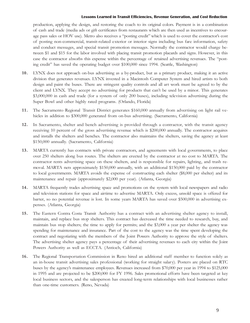production, applying the design, and restoring the coach to its original colors. Payment is in a combination of cash and trade (media ads or gift certificates from restaurants which are then used as incentives to encourage pass sales or HOV use). Metro also receives a "posting credit" which is used to cover the contractor's cost of posting non-commercial, transit-related exterior or interior signs including bus fare information, safety and conduct messages, and special transit promotion messages. Normally the contractor would charge between \$1 and \$15 for the labor involved with placing transit promotion placards and signs. However, in this case the contractor absorbs this expense within the percentage of retained advertising revenues. The "posting credit" has saved the operating budget over \$100,000 since 1994. (Seattle, Washington)

- 10. LYNX does not approach on-bus advertising as a by-product, but as a primary product, making it an active division that generates revenues. LYNX invested in a Macintosh Computer System and hired artists to both design and paint the buses. There are stringent quality controls and all art work must be agreed to by the client and LYNX. They accept no advertising for products that can't be used by a minor. This generates \$3,000,000 in cash and trade (for a system of only 200 buses), including television advertising during the Super Bowl and other highly rated programs. (Orlando, Florida)
- 11. The Sacramento Regional Transit District generates \$160,000 annually from advertising on light rail vehicles in addition to \$300,000 generated from on-bus advertising. (Sacramento, California)
- 12. In Sacramento, shelter and bench advertising is provided through a contractor, with the transit agency receiving 10 percent of the gross advertising revenue which is \$200,000 annually. The contractor acquires and installs the shelters and benches. The contractor also maintains the shelters, saving the agency at least \$150,000 annually. (Sacramento, California)
- 13. MARTA currently has contracts with private contractors, and agreements with local governments, to place over 250 shelters along bus routes. The shelters are erected by the contractor at no cost to MARTA. The contractor rents advertising space on these shelters, and is responsible for repairs, lighting, and trash removal. MARTA nets approximately \$150,000 annually, with an additional \$150,000 paid by the contractor to local governments. MARTA avoids the expense of constructing each shelter (\$8,000 per shelter) and its maintenance and repair (approximately \$2,000 per year). (Atlanta, Georgia)
- 14. MARTA frequently trades advertising space and promotions on the system with local newspapers and radio and television stations for space and airtime to advertise MARTA. Only excess, unsold space is offered for barter, so no potential revenue is lost. In some years MARTA has saved over \$500,000 in advertising expenses. (Atlanta, Georgia)
- 15. The Eastern Contra Costa Transit Authority has a contract with an advertising shelter agency to install, maintain, and replace bus stop shelters. This contract has decreased the time needed to research, buy, and maintain bus stop shelters; the time to apply for permits; and the \$3,000 a year per shelter the agency was spending for maintenance and insurance. Part of the cost to the agency was the time spent developing the contract and negotiating with the members of the Joint Powers Authority to approve the style of shelters. The advertising shelter agency pays a percentage of their advertising revenues to each city within the Joint Powers Authority as well as ECCTA. (Antioch, California)
- 16. The Regional Transportation Commission in Reno hired an additional staff member to function solely as an in-house transit advertising sales professional (working for straight salary). Posters are placed on RTC buses by the agencys maintenance employees. Revenues increased from \$70,000 per year in 1994 to \$125,000 in 1995 and are projected to be \$200,000 for FY 1996. Sales promotional efforts have been targeted at key local business sectors, and the salesperson has created long-term relationships with local businesses rather than one-time customers. (Reno, Nevada)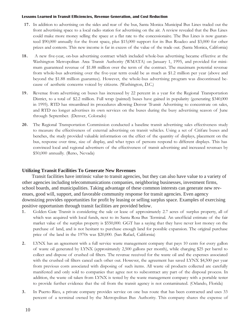- 17. In addition to advertising on the sides and rear of the bus, Santa Monica Municipal Bus Lines traded out the front advertising space to a local radio station for advertising on the air. A review revealed that the Bus Lines could make more money selling the space at a flat rate to the concessionaire. The Bus Lines is now guaranteed \$90,000 annually for the front space, plus \$15,000 support for its Bus Roadeo and \$3,000 for other prizes and contests. This new income is far in excess of the value of the trade out. (Santa Monica, California)
- 18. A new five-year, on-bus advertising contract which included whole-bus advertising became effective at the Washington Metropolitan Area Transit Authority (WMATA) on January 1, 1995, and provided for minimum guaranteed revenue of \$1.88 million over the term of the contract. The maximum potential revenue from whole-bus advertising over the five-year term could be as much as \$1.2 million per year (above and beyond the \$1.88 million guarantee). However, the whole-bus advertising program was discontinued because of aesthetic concerns voiced by citizens. (Washington, D.C.)
- 19. Revenue from advertising on buses has increased by 22 percent in a year for the Regional Transportation District, to a total of \$2.2 million. Full wrap (painted) buses have gained in popularity (generating \$340,000 in 1995). RTD has streamlined its procedures allowing Denver Transit Advertising to concentrate on sales, and RTD no longer advertises its own services on the buses during the busy advertising season of June through September. (Denver, Colorado)
- 20. The Regional Transportation Commission conducted a baseline transit advertising sales effectiveness study to measure the effectiveness of external advertising on transit vehicles. Using a set of Citifare buses and benches, the study provided valuable information on the effect of the quantity of displays, placement on the bus, response over time, size of display, and what types of persons respond to different displays. This has convinced local and regional advertisers of the effectiveness of transit advertising and increased revenues by \$50,000 annually. (Reno, Nevada)

### **Utilizing Transit Facilities To Generate New Revenues**

Transit facilities have intrinsic value to transit agencies, but they can also have value to a variety of other agencies including telecommunications companies, neighboring businesses, investment firms, school boards, and municipalities. Taking advantage of these common interests can generate new revenues, good will, support, and favorable community response for transit agencies. Even agency downsizing provides opportunities for profit by leasing or selling surplus space. Examples of exercising positive opportunism through transit facilities are provided below.

- 1 . Golden Gate Transit is considering the sale or lease of approximately 2.7 acres of surplus property, all of which was acquired with local funds, next to its Santa Rosa Bus Terminal. An unofficial estimate of the fair market value of the surplus property is \$550,000. GGT has a saying that they have never lost money on the purchase of land, and is not hesitant to purchase enough land for possible expansion. The original purchase price of the land in the 1970s was \$20,000. (San Rafael, California)
- 2. LYNX has an agreement with a full service waste management company that pays 10 cents for every gallon of waste oil generated by LYNX (approximately 2,500 gallons per month), while charging \$25 per barrel to collect and dispose of crushed oil filters. The revenue received for the waste oil and the expenses associated with the crushed oil filters cancel each other out. However, the agreement has saved LYNX \$4,500 per year from previous costs associated with disposing of such items. All waste oil products collected are carefully manifested and only sold to companies that agree not to subcontract any part of the disposal process. In addition, the waste oil taken from LYNX is tested by the waste management company with a portable tester to provide further evidence that the oil from the transit agency is not contaminated. (Orlando, Florida)
- 3. In Puerto Rico, a private company provides service on one bus route that has been contracted and uses 33 percent of a terminal owned by the Metropolitan Bus Authority. This company shares the expense of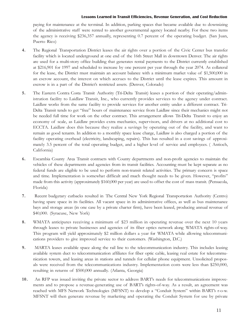paying for maintenance at the terminal. In addition, parking spaces that became available due to downsizing of the administrative staff were rented to another governmental agency located nearby. For these two items the agency is receiving \$236,357 annually, representing 0.7 percent of the operating budget. (San Juan, Puerto Rico)

- 4. The Regional Transportation District leases the air rights over a portion of the Civic Center bus transfer facility which is located underground at one end of the 16th Street Mall in downtown Denver. The air rights are used for a multi-story office building that generates rental payments to the District currently established at \$216,901 for 1997 and scheduled to increase by one percent per year through the year 2074. As collateral for the lease, the District must maintain an account balance with a minimum market value of \$1,500,000 in an escrow account, the interest on which accrues to the District until the lease expires. This amount in escrow is in a part of the District's restricted assets. (Denver, Colorado)
- 5. The Eastern Contra Costa Transit Authority (Tri-Delta Transit) leases a portion of their operating/administration facility to Laidlaw Transit, Inc., who currently provides services to the agency under contract. Laidlaw works from the same facility to provide services for another entity under a different contract. Tri-Delta Transit tends to get "free" hours of maintenance service from Laidlaw since their mechanics might not be needed full time for work on the other contract. This arrangement allows Tri-Delta Transit to enjoy an economy of scale, as Laidlaw provides extra mechanics, supervisors, and drivers at no additional cost to ECCTA. Laidlaw does this because they realize a savings by operating out of the facility, and want to remain as good tenants. In addition to a monthly space lease charge, Laidlaw is also charged a portion of the facility operating overhead (electricity, landscaping, repairs). This has resulted in a cost savings of approximately 3.5 percent of the total operating budget, and a higher level of service and employees. ( Antioch, California)
- 6. Escambia County Area Transit contracts with County departments and non-profit agencies to maintain the vehicles of these departments and agencies from its transit facilities. Accounting must be kept separate as no federal funds are eligible to be used to perform non-transit related activities. The primary concern is space and time. Implementation is somewhat difficult and much thought needs to be given. However, "profits" made from this activity (approximately \$160,000 per year) are used to offset the cost of mass transit. (Pensacola, Florida)
- 7. Recent budgetary cutbacks resulted in The Central New York Regional Transportation Authority (Centro) having spare space in its facilities. All vacant space in its administrative offices, as well as bus maintenance bays and storage areas (in one case by a private charter firm), have been leased, producing annual revenue of \$40,000. (Syracuse, New York)
- 8. WMATA anticipates receiving a minimum of \$23 million in operating revenue over the next 10 years through leases to private businesses and agencies of its fiber optics network along WMATA rights-of-way. This program will yield approximately \$2 million dollars a year for WMATA while allowing telecommunications providers to give improved service to their customers. (Washington, D.C.)
- 9. MARTA leases available space along the rail line to the telecommunication industry. This includes leasing available system duct to telecommunication affiliates for fiber optic cable, leasing real estate for telecommunication towers, and leasing areas in stations and tunnels for cellular phone equipment. Unsolicited proposals were received from the telecommunications industry. Implementation costs were less than \$250,000, resulting in returns of \$500,000 annually. (Atlanta, Georgia)
- 10. An RFP was issued inviting the private sector to address BART's needs for telecommunications improvements and to propose a revenue-generating use of BARTs rights-of-way. As a result, an agreement was reached with MFS Network Technologies (MFSNT) to develop a "Conduit System" within BART's r-o-w. MFSNT will then generate revenue by marketing and operating the Conduit System for use by private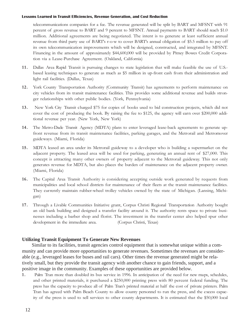telecommunications companies for a fee. The revenue generated will be split by BART and MFSNT with 91 percent of gross revenue to BART and 9 percent to MFSNT. Annual payments to BART should reach \$1.0 million. Additional agreements are being negotiated. The intent is to generate at least sufficient annual revenue from third party use of BART's r-o-w to cover BART's annual obligation of \$5.5 million to pay off its own telecommunication improvements which will be designed, constructed, and integrated by MFSNT. Financing in the amount of approximately \$44,600,000 will be provided by Pitney Bowes Credit Corporation via a Lease-Purchase Agreement. (Oakland, California)

- 11. Dallas Area Rapid Transit is pursuing changes to state legislation that will make feasible the use of U.S. based leasing techniques to generate as much as \$5 million in up-front cash from their administration and light rail facilities. (Dallas, Texas)
- 12. York County Transportation Authority (Community Transit) has agreements to perform maintenance on city vehicles from its transit maintenance facilities. This provides some additional revenue and builds stronger relationships with other public bodies. (York, Pennsylvania)
- 13. New York City Transit charged \$75 for copies of books used to bid construction projects, which did not cover the cost of producing the book. By raising the fee to \$125, the agency will earn over \$200,000 additional revenue per year. (New York, New York)
- 14. The Metro-Dade Transit Agency (MDTA) plans to enter leveraged lease-back agreements to generate upfront revenue from its transit maintenance facilities, parking garages, and the Metrorail and Metromover guideways. (Miami, Florida)
- 15. MDTA leased an area under its Metrorail guideway to a developer who is building a supermarket on the adjacent property. The leased area will be used for parking, generating an annual rent of \$27,000. This concept is attracting many other owners of property adjacent to the Metrorail guideway. This not only generates revenue for MDTA, but also places the burden of maintenance on the adjacent property owner. (Miami, Florida)
- 16. The Capital Area Transit Authority is considering accepting outside work generated by requests from municipalities and local school districts for maintenance of their fleets at the transit maintenance facilities. They cur rently maintain rubber-wheel trolley vehicles owned by the state of Michigan. (Lansing, Michigan)
- 17. Through a Livable Communities Initiative grant, Corpus Christi Regional Transportation Authority bought an old bank building and designed a transfer facility around it. The authority rents space to private businesses including a barber shop and florist. The investment in the transfer center also helped spur other development in the immediate area. (Corpus Christi, Texas)

### **Utilizing Transit Equipment To Generate New Revenues**

Similar to its facilities, transit agencies control equipment that is somewhat unique within a community and can provide more opportunities to generate revenues. Sometimes the revenues are considerable (e.g., leveraged leases for buses and rail cars). Other times the revenue generated might be relatively small, but they provide the transit agency with another chance to gain friends, support, and a positive image in the community. Examples of these opportunities are provided below.

1 . Palm Tran more than doubled its bus service in 1996. In anticipation of the need for new maps, schedules, and other printed materials, it purchased a \$250,000 printing press with 80 percent federal funding. The press has the capacity to produce all of Palm Tran's printed material at half the cost of private printers. Palm Tran has agreed with Palm Beach County to allow county personnel to run the press, and the excess capacity of the press is used to sell services to other county departments. It is estimated that the \$50,000 local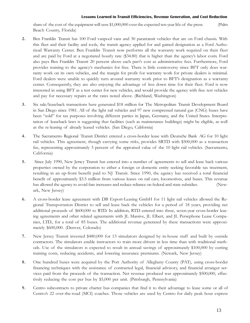share of the cost of the equipment will save \$1,000,000 over the expected ten-year life of the press. (Palm Beach County, Florida)

- 2. Ben Franklin Transit has 100 Ford vanpool vans and 30 paratransit vehicles that are on Ford chassis. With this fleet and their facility and tools, the transit agency applied for and gained designation as a Ford Authorized Warranty Center. Ben Franklin Transit now performs all the warranty work required on their fleet and are paid by Ford at a negotiated hourly rate (\$34.80) that is higher than the agencys labor costs. Ford also pays Ben Franklin Transit 20 percent above each parts cost as administrative fees. Furthermore, Ford provides training to the agencys mechanics for free. There is little controversy since BFT only does warranty work on its own vehicles, and the margin for profit for warranty work for private dealers is minimal. Ford dealers were unable to quickly turn around warranty work prior to BFT's designation as a warranty center. Consequently, they are also enjoying the advantage of less down time for their fleet. Ford is now interested in using BFT as a test center for new vehicles, and would provide the agency with free test vehicles and pay for necessary repairs at the rates noted above. (Richland, Washington)
- 3. Six sale/leaseback transactions have generated \$18 million for The Metropolitan Transit Development Board in San Diego since 1981. All of the light rail vehicles and 97 new compressed natural gas (CNG) buses have been "sold" for tax purposes involving different parties in Japan, Germany, and the United States. Interpretation of leaseback laws is suggesting that facilities (such as maintenance buildings) might be eligible, as well as the re-leasing of already leased vehicles. (San Diego, California)
- 4. The Sacramento Regional Transit District entered a cross-border lease with Deutsche Bank AG for 10 light rail vehicles. This agreement, though carrying some risks, provides SRTD with \$500,000 as a transaction fee, representing approximately 3 percent of the appraised value of the 10 light rail vehicles. (Sacramento, California)
- 5. Since July 1990, New Jersey Transit has entered into a number of agreements to sell and lease back various properties owned by the corporation to either a foreign or domestic entity seeking favorable tax treatment, resulting in an up-front benefit paid to NJ Transit. Since 1990, the agency has received a total financial benefit of approximately \$3.5 million from various leases on rail cars, locomotives, and buses. This revenue has allowed the agency to avoid fare increases and reduce reliance on federal and state subsidies. (Newark, New Jersey)
- 6. A cross-border lease agreement with DB Export-Leasing GmbH for 11 light rail vehicles allowed the Regional Transportation District to sell and lease back the vehicles for a period of 18 years, providing net additional proceeds of \$600,000 to RTD. In addition, RTD entered into three, seven-year cross-border leasing agreements and other related agreements with JL Massive, JL Elbert, and JL Persephone Lease Companies, LTD., for a total of 85 buses. The additional revenue generated by these transactions were approximately \$600,000. (Denver, Colorado)
- 7. New Jersey Transit invested \$480,000 for 13 simulators designed by in-house staff and built by outside contractors. The simulators enable instructors to train more drivers in less time than with traditional methods. Use of the simulators is expected to result in annual savings of approximately \$100,000 by cutting training costs, reducing accidents, and lowering insurance premiums. (Newark, New Jersey)
- 8. One hundred buses were acquired by the Port Authority of Allegheny County (PAT), using cross-border financing techniques with the assistance of contracted legal, financial advisory, and financial arranger services paid from the proceeds of the transaction. Net revenue produced was approximately \$500,000, effectively reducing the cost per bus by \$5,000 per unit. (Pittsburgh, Pennsylvania)
- 9. Centro subcontracts to private charter bus companies that find it to their advantage to lease some or all of Centros 22 over-the-road (MCI) coaches. Those vehicles are used by Centro for daily peak hour express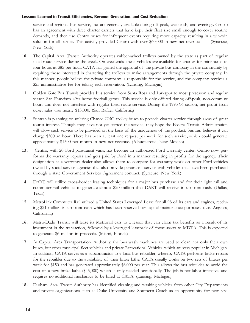service and regional bus service, but are generally available during off-peak, weekends, and evenings. Centro has an agreement with three charter carriers that have kept their fleet size small enough to cover routine demands, and then use Centro buses for infrequent events requiring more capacity, resulting in a win-win solution for all parties. This activity provided Centro with over \$60,000 in new net revenue. (Syracuse, New York)

- 10. The Capital Area Transit Authority operates rubber-wheel trolleys owned by the state as part of regular fixed-route service during the week. On weekends, these vehicles are available for charter for minimums of four hours at \$85 per hour. CATA has gained the approval of the private bus company in the community by requiring those interested in chartering the trolleys to make arrangements through the private company. In this manner, people believe the private company is responsible for the service, and the company receives a \$25 administrative fee for taking each reservation. (Lansing, Michigan)
- 11. Golden Gate Bus Transit provides bus service from Santa Rosa and Larkspur to most preseason and regular season San Francisco 49er home football games. This service is only offered during off-peak, non-commute hours and does not interfere with regular fixed-route service. During the 1995-96 season, net profit from ticket sales was nearly \$13,000. (San Rafael, California)
- 12. Suntran is planning on utilizing Chance CNG trolley buses to provide charter service through areas of great tourist interest. Though they have not yet started the service, they hope the Federal Transit Administration will allow such service to be provided on the basis of the uniqueness of the product. Suntran believes it can charge \$300 an hour. There has been at least one request per week for such service, which could generate approximately \$1500 per month in new net revenue. (Albuquerque, New Mexico)
- 13. Centro, with 20 Ford paratransit vans, has become an authorized Ford warranty center. Centro now performs the warranty repairs and gets paid by Ford in a manner resulting in profits for the agency. Their designation as a warranty dealer also allows them to compete for warranty work on other Ford vehicles owned by social service agencies that also provide paratransit service with vehicles that have been purchased through a state Government Services Agreement contract. (Syracuse, New York)
- 14. DART will utilize cross-border leasing techniques for a major bus purchase and for their light rail and commuter rail vehicles to generate almost \$20 million that DART will receive in up-front cash. (Dallas, Texas)
- 15. MetroLink Commuter Rail utilized a United States Leveraged Lease for all 98 of its cars and engines, receiving \$21 million in up-front cash which has been reserved for capital maintenance purposes. (Los Angeles, California)
- 16. Metro-Dade Transit will lease its Metrorail cars to a lessor that can claim tax benefits as a result of its investment in the transaction, followed by a leveraged leaseback of those assets to MDTA. This is expected to generate \$6 million in proceeds. (Miami, Florida)
- 17. At Capital Area Transportation Authority, the bus wash machines are used to clean not only their own buses, but other municipal fleet vehicles and private Recreational Vehicles, which are very popular in Michigan. In addition, CATA serves as a subcontractor to a local bus rebuilder, whereby CATA performs brake repairs for the rebuilder due to the availability of their brake lathe. CATA usually works on two sets of brakes per week for \$150 and has generated approximately \$6,000 per year. This allows the bus rebuilder to avoid the cost of a new brake lathe (\$45,000) which is only needed occasionally. The job is not labor intensive, and requires no additional mechanics to be hired at CATA. (Lansing, Michigan)
- 18. Durham Area Transit Authority has identified cleaning and washing vehicles from other City Departments and private organizations such as Duke University and Southern Coach as an opportunity for new rev-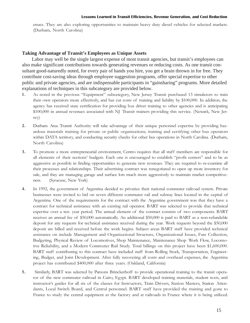enues. They are also exploring opportunities to maintain heavy duty diesel vehicles for selected markets. (Durham, North Carolina)

### **Taking Advantage of Transit's Employees as Unique Assets**

Labor may well be the single largest expense of most transit agencies, but transit's employees can also make significant contributions towards generating revenues or reducing costs. As one transit consultant good-naturedly noted, for every pair of hands you hire, you get a brain thrown in for free. They contribute cost-saving ideas through employee suggestion programs, offer special expertise to other public and private agencies, and are indispensable participants in "gainsharing" programs. More detailed explanations of techniques in this subcategory are provided below.

- 1. As noted in the previous "Equipment" subcategory, New Jersey Transit purchased 13 simulators to train their own operators more effectively, and has cut costs of training and liability by \$100,000. In addition, the agency has received state certification for providing bus driver training to other agencies and is anticipating \$100,000 in annual revenues associated with NJ Transit trainers providing this service. (Newark, New Jersey)
- 2. Durham Area Transit Authority will take advantage of their unique personnel expertise by providing hazardous materials training for private or public organizations, training and certifying other bus operators within DATA territory, and conducting security checks for other bus operations in North Carolina. (Durham, North Carolina)
- 3. To promote a more entrepreneurial environment, Centro requires that all staff members are responsible for all elements of their sections' budgets. Each one is encouraged to establish "profit centers" and to be as aggressive as possible in finding opportunities to generate new revenues. They are required to re-examine all their processes and relationships. Their advertising contract was renegotiated to open up more inventory for sale, and they are managing garage and surface lots much more aggressively to maintain market competitiveness. (Syracuse, New York)
- 4. In 1992, the government of Argentina decided to privatize their national commuter railroad system. Private businesses were invited to bid on seven different commuter rail and subway lines located in the capital of Argentina. One of the requirements for the contract with the Argentine government was that they have a contract for technical assistance with an existing rail operator. BART was selected to provide that technical expertise over a ten- year period. The annual element of the contract consists of two components. BART receives an annual fee of \$50,000 automatically. An additional \$50,000 is paid to BART as a non-refundable deposit for any requests for technical assistance received during the year. Work requests beyond the \$50,000 deposit are billed and received before the work begins. Subject areas BART staff have provided technical assistance on include Management and Organizational Structure, Organizational Issues, Fare Collection, Budgeting, Physical Review of Locomotives, Shop Maintenance, Maintenance Shop Work Flow, Locomotive Reliability, and a Modern Commuter Rail Study. Total billings on this project have been \$1,600,000. BART staff contributing to this contract have included staff from Rolling Stock, Transportation, Engineering, Budget, and Joint Development. After fully recovering all costs and overhead expenses, the Argentina project has contributed \$400,000 after three years. (Oakland, California)
- 5. Similarly, BART was selected by Parsons Brinckerhoff to provide operational training to the transit operator of the new commuter railroad in Cairo, Egypt. BART developed training materials, student texts, and instructor's guides for all six of the classes for Instructors, Train Drivers, Station Masters, Station Attendants, Local Switch Board, and Central personnel. BART staff have provided the training and gone to France to study the central equipment at the factory and at railroads in France where it is being utilized.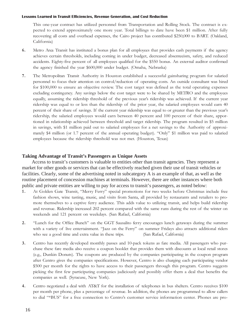This one-year contract has utilized personnel from Transportation and Rolling Stock. The contract is expected to extend approximately one more year. Total billings to date have been \$1 million. After fully recovering all costs and overhead expenses, the Cairo project has contributed \$250,000 to BART. (Oakland, California)

- 6. Metro Area Transit has instituted a bonus plan for all employees that provides cash payments if the agency achieves certain thresholds, including coming in under budget, decreased absenteeism, safety, and reduced accidents. Eighty-five percent of all employees qualified for the \$550 bonus. An external auditor confirmed the agency finished the year \$600,000 under budget. (Omaha, Nebraska)
- 7. The Metropolitan Transit Authority in Houston established a successful gainsharing program for salaried personnel to focus their attention on control/reduction of operating costs. An outside consultant was hired for \$100,000 to ensure an objective review. The cost target was defined as the total operating expenses excluding contingency. Any savings below the cost target were to be shared by METRO and the employees equally, assuming the ridership threshold of the previous years ridership was achieved. If the current year ridership was equal to or less than the ridership of the prior year, the salaried employees would earn 40 percent of their share of savings. If the current year ridership was equal to or greater than the previous years ridership, the salaried employees would earn between 40 percent and 100 percent of their share, apportioned in relationship achieved between threshold and target ridership. The program resulted in \$5 million in savings, with \$1 million paid out to salaried employees for a net savings to the Authority of approximately \$4 million (or 1.7 percent of the annual operating budget). "Only" \$1 million was paid to salaried employees because the ridership threshold was not met. (Houston, Texas)

### **Taking Advantage of Transit's Passengers as Unique Assets**

Access to transit's customers is valuable to entities other than transit agencies. They represent a market for other goods or services that can be effectively reached given their use of transit vehicles or facilities. Clearly, some of the advertising noted in subcategory A is an example of that, as well as the routine placement of concession machines at terminals. However, there are other instances where both public and private entities are willing to pay for access to transit's passengers, as noted below:

- 1. At Golden Gate Transit, "Merry Ferry" special promotions for two weeks before Christmas include free fashion shows, wine tasting, music, and visits from Santa, all provided by restaurants and retailers to promote themselves to a captive ferry audience. This adds value to utilizing transit, and helps build ridership and revenue. Ridership increased 202 percent compared with the same runs during the rest of the winter on weekends and 121 percent on weekdays. (San Rafael, California)
- 2. "Lunch for the Office Bunch" on the GGT Sausalito ferry encourages lunch getaways during the summer with a variety of live entertainment. "Jazz on the Ferry" on summer Fridays also attracts additional riders who see a good time and extra value in these trips. (San Rafael, California)
- 3. Centro has recently developed monthly passes and 10-pack tokens as fare media. All passengers who purchase these fare media also receive a coupon booklet that provides them with discounts at local retail stores (e.g., Dunkin Donuts). The coupons are produced by the companies participating in the coupon program after Centro gives the companies specifications. However, Centro is also charging each participating vendor \$500 per month for the rights to have access to their passengers through this program. Centro suggests picking the first few participating companies judiciously and possibly offer them a deal that benefits the companies as well. (Syracuse, New York).
- 4. Centro negotiated a deal with AT&T for the installation of telephones in bus shelters. Centro receives \$100 per month per phone, plus a percentage of revenue. In addition, the phones are programmed to allow callers to dial "\*BUS" for a free connection to Centro's customer service information center. Phones are pro-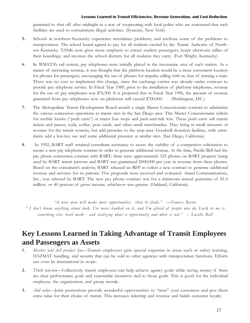grammed to shut off after midnight as a way of cooperating with local police who are concerned that such facilities are used to consummate illegal activities. (Syracuse, New York)

- 5. Schools in northern Kentucky experience attendance problems, and attribute some of the problems to transportation. The school board agreed to pay for all students carried by the Transit Authority of Northern Kentucky. TANK now gives more emphasis to attract student passengers, keeps electronic tallies of their boardings, and invoices the school districts for all students they carry. (Fort Wright, Kentucky)
- 6. In WMATAs rail system, pay telephones were initially placed in the mezzanine area of each station. As a means of increasing revenue, it was thought that the platform location would be a more convenient location for phones for passengers, encouraging the use of phones for impulse calling with no fear of missing a train. There was no cost to implement this change, since the exchange carrier was already under contract to provide pay telephone service. In Fiscal Year 1989, prior to the installation of platform telephones, revenue for the use of pay telephones was \$76,500. It is projected that in Fiscal Year 1996, the amount of revenue generated from pay telephones now on platforms will exceed \$700,000. (Washington, D.C.)
- 7. The Metropolitan Transit Development Board awards a single Master Concessionaire contract to administer the various concession operations at transit sites in the San Diego area. This Master Concessionaire solicits for mobile kiosks ("push carts") at major bus stops and park-and-ride lots. These push carts sell transit tickets and passes, soda, coffee, post cards, and other small merchandise. They bring in small amounts of revenue for the transit systems, but add presence to the stop area. Goodwill donation facilities, with attendants, add a low-key use and some additional presence at similar sites. (San Diego, California)
- 8. In 1992, BART staff retained consultant assistance to assess the viability of a competitive solicitation to secure a new pay telephone contract in order to generate additional revenue. At the time, Pacific Bell had the pay phone concession contract with BART; there were approximately 525 phones on BART property being used by BART transit patrons and BART was guaranteed \$500,000 per year in revenue from these phones. Based on the consultant's analysis, BART released an RFP to solicit a new contract to generate additional revenue and services for its patrons. Five proposals were received and evaluated. Amtel Communications, Inc., was selected by BART. The new pay phone contract was for a minimum annual guarantee of \$1.0 million, or 40 percent of gross income, whichever was greater. (Oakland, California)

"A wise man will make more opportunities than he finds."  $-$  Francis Bacon

 I dont know anything about luck. Ive never banked on it, and Im afraid of people who do. Luck to me is something else: hard work - and realizing what is opportunity and what is not." - Lucille Ball

### **Key Lessons Learned in Taking Advantage of Transit Employees and Passengers as Assets**

- 1. Market your full product line-Transit employees gain special expertise in areas such as safety training, HAZMAT handling, and security that can be sold to other agencies with transportation functions. Efforts can even be international in scope.
- 2. Think win-win—Collectively, transit employees can help achieve agency goals while saving money if there are clear performance goals and reasonable incentives tied to those goals. This is good for the individual employee, the organization, and group morale.
- 3. Add value-Joint promotions provide wonderful oppor tunities to "treat" your customers and give them extra value for their choice of transit. This increases ridership and revenue and builds customer loyalty.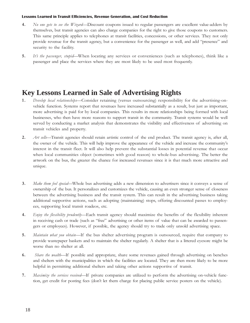- 4. No one gets to see the Wizard-Discount coupons issued to regular passengers are excellent value-adders by themselves, but transit agencies can also charge companies for the right to give those coupons to customers. This same principle applies to telephones at transit facilities, concessions, or other services. They not only provide revenue for the transit agency, but a convenience for the passenger as well, and add "presence" and security to the facility.
- 5. It's the passenger, stupid—When locating any services or conveniences (such as telephones), think like a passenger and place the services where they are most likely to be used most frequently.

### **Key Lessons Learned in Sale of Advertising Rights**

- 1. Develop local relationships-Consider retaining (versus outsourcing) responsibility for the advertising-onvehicle function. Systems report that revenues have increased substantially as a result, but just as important, more advertising is paid for by local companies. This results in more relationships being formed with local businesses, who then have more reasons to support transit in the community. Transit systems would be well served by conducting a market analysis that demonstrates the visibility and effectiveness of advertising on transit vehicles and property.
- 2. Art sells—Transit agencies should retain artistic control of the end product. The transit agency is, after all, the owner of the vehicle. This will help improve the appearance of the vehicle and increase the communitys interest in the transit fleet. It will also help prevent the substantial losses in potential revenue that occur when local communities object (sometimes with good reason) to whole-bus advertising. The better the artwork on the bus, the greater the chance for increased revenues since it is that much more attractive and unique.
- 3. Make them feel special—Whole bus advertising adds a new dimension to advertisers since it conveys a sense of ownership of the bus. It personalizes and customizes the vehicle, causing an even stronger sense of closeness between the advertising business and the transit system. This can result in the advertising business taking additional supportive actions, such as adopting (maintaining) stops, offering discounted passes to employees, supporting local transit roadeos, etc.
- 4. Enjoy the flexibility prudently—Each transit agency should maximize the benefits of the flexibility inherent in receiving cash or trade (such as "free" advertising or other items of value that can be awarded to passengers or employees). However, if possible, the agency should try to trade only unsold advertising space.
- 5. Maintain what you obtain—If the bus shelter advertising program is outsourced, require that company to provide wastepaper baskets and to maintain the shelter regularly. A shelter that is a littered eyesore might be worse than no shelter at all.
- 6. Share the wealth—If possible and appropriate, share some revenues gained through advertising on benches and shelters with the municipalities in which the facilities are located. They are then more likely to be more helpful in permitting additional shelters and taking other actions supportive of transit.
- 7. Maximize the services received—If private companies are utilized to perform the advertising on-vehicle function, get credit for posting fees (don't let them charge for placing public service posters on the vehicle).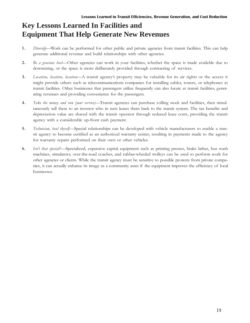### **Key Lessons Learned In Facilities and Equipment That Help Generate New Revenues**

- 1. Diversify—Work can be performed for other public and private agencies from transit facilities. This can help generate additional revenue and build relationships with other agencies.
- 2. Be a gracious host-Other agencies can work in your facilities, whether the space is made available due to downsizing, or the space is more deliberately provided through contracting of services.
- 3. Location, location, location—A transit agency's property may be valuable for its air rights or the access it might provide others such as telecommunications companies for installing cables, towers, or telephones at transit facilities. Other businesses that passengers utilize frequently can also locate at transit facilities, generating revenues and providing convenience for the passengers.
- 4. Take the money and run (your service)—Transit agencies can purchase rolling stock and facilities, then simultaneously sell these to an investor who in turn leases them back to the transit system. The tax benefits and depreciation value are shared with the transit operator through reduced lease costs, providing the transit agency with a considerable up-front cash payment.
- 5. Technician, heal thyself-Special relationships can be developed with vehicle manufacturers to enable a transit agency to become certified as an authorized warranty center, resulting in payments made to the agency for warranty repairs performed on their own or other vehicles.
- 6. Isn't that special?—Specialized, expensive capital equipment such as printing presses, brake lathes, bus wash machines, simulators, over-the-road coaches, and rubber-wheeled trolleys can be used to perform work for other agencies or clients. While the transit agency must be sensitive to possible protests from private companies, it can actually enhance its image as a community asset if the equipment improves the efficiency of local businesses.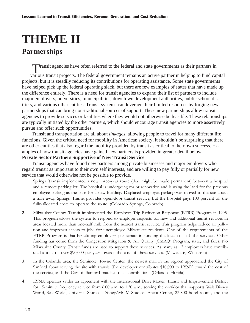# **THEME II**

### **Partnerships**

Transit agencies have often referred to the federal and state governments as their partners in

various transit projects. The federal government remains an active partner in helping to fund capital projects, but it is steadily reducing its contributions for operating assistance. Some state governments have helped pick up the federal operating slack, but there are few examples of states that have made up the difference entirely. There is a need for transit agencies to expand their list of partners to include major employers, universities, municipalities, downtown development authorities, public school districts, and various other entities. Transit systems can leverage their limited resources by forging new partnerships that can bring non-traditional sources of support. These new partnerships allow transit agencies to provide services or facilities where they would not otherwise be feasible. These relationships are typically initiated by the other partners, which should encourage transit agencies to more assertively pursue and offer such opportunities.

Transit and transportation are all about *linkages*, allowing people to travel for many different life functions. Given the critical need for mobility in American society, it shouldn't be surprising that there are other entities that also regard the mobility provided by transit as critical to their own success. Examples of how transit agencies have gained new partners is provided in greater detail below

### **Private Sector Partners Supportive of New Transit Service**

Transit agencies have found new partners among private businesses and major employers who regard transit as important to their own self interests, and are willing to pay fully or partially for new service that would otherwise not be possible to provide.

- 1 . Springs Transit implemented a new three-year route (that might be made permanent) between a hospital and a remote parking lot. The hospital is undergoing major renovation and is using the land for the previous employee parking as the base for a new building. Displaced employee parking was moved to the site about a mile away. Springs Transit provides open-door transit service, but the hospital pays 100 percent of the fully-allocated costs to operate the route. (Colorado Springs, Colorado)
- 2. Milwaukee County Transit implemented the Employer Trip Reduction Response (ETRR) Program in 1995. This program allows the system to respond to employer requests for new and additional transit services in areas located more than one-half mile from the nearest transit service. This program helps reduce air pollution and improves access to jobs for unemployed Milwaukee residents. One of the requirements of the ETRR Program is that benefitting employers participate in funding the local cost of the services. Other funding has come from the Congestion Mitigation & Air Quality (CMAQ) Program, state, and fares. No Milwaukee County Transit funds are used to support these services. As many as 12 employers have contributed a total of over \$90,000 per year towards the cost of these services. (Milwaukee, Wisconsin)
- 3. In the Orlando area, the Seminole Towne Center (the newest mall in the region) approached the City of Sanford about serving the site with transit. The developer contributes \$10,000 to LYNX toward the cost of the service, and the City of Sanford matches that contribution. (Orlando, Florida)
- 4. LYNX operates under an agreement with the International Drive Master Transit and Improvement District for 15-minute frequency service from 6:00 a.m. to 1:30 a.m., serving the corridor that supports Walt Disney World, Sea World, Universal Studios, Disney/MGM Studios, Epcot Center, 23,800 hotel rooms, and the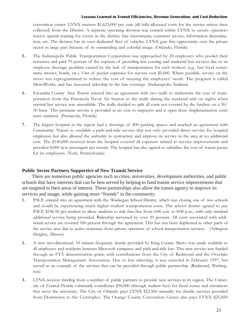convention center. LYNX receives \$1,623,000 per year (all fully-allocated costs for the service minus fares collected) from the District. A separate operating division was created within LYNX to ensure operators receive special training for events in the district, fare instruments, customer service, information dissemination, etc. The division has its own dedicated fleet of vehicles. LYNX gets this opportunity over the private sector in large part because of its outstanding and colorful image. (Orlando, Florida)

- 5. The Indianapolis Public Transportation Corporation was approached by 20 employers who pooled their resources and paid 70 percent of the expense of providing late evening and weekend bus services due to an employee shortage problem caused by the lack of transportation for such workers (e.g., fast food restaurants, movies, hotels, etc.). Out of pocket expenses for surveys cost \$5,000. Where possible, service on the street was reprogrammed to reduce the cost of meeting the employers' needs. The program is called MetroWorks, and has increased ridership in the late evenings. (Indianapolis, Indiana)
- 6. Escambia County Area Transit entered into an agreement with two malls to underwrite the cost of transportation from the Pensacola Naval Air Station to the malls during the weekend and on nights when normal bus service was unavailable. The malls decided to split all costs not covered by the farebox on a 50/ 50 basis. This premium service is provided at no cost to taxpayers and is open door. Implementation costs were minimal. (Pensacola, Florida)
- 7. The largest hospital in the region had a shortage of 400 parking spaces and reached an agreement with Community Transit to establish a park-and-ride service that not only provided direct service for hospital employees but also allowed the authority to restructure and improve its service in the area at no additional cost. The \$140,000 received from the hospital covered all expenses related to service improvements and provided 8,000 new passengers per month. The hospital has also agreed to subsidize the cost of transit passes for its employees. (York, Pennsylvania)

### **Public Sector Partners Supportive of New Transit Service**

There are numerous public agencies such as cities, universities, development authorities, and public schools that have interests that can be best served by helping to fund transit service improvements that are targeted to their areas of interest. These partnerships also allow the transit agency to improve its services and image, while gaining more "friends" in the community.

- 1 . PACE entered into an agreement with the Waukegan School District, which was closing one of two schools and would be experiencing much higher student transportation costs. The school district agreed to pay PACE \$186.50 per student to allow students to ride fare-free from 6:00 a.m. to 8:00 p.m., with only minimal additional service being provided. Ridership increased by over 50 percent. All costs associated with additional service are covered 100 percent through the agreement. This has not been duplicated in other parts of the service area due to active resistance from private operators of school transportation services. (Arlington Heights, Illinois)
- 2. A new two-directional, 10 minute frequency shuttle provided by King County Metro was made available to all employees and residents between Microsoft campuses and park-and-ride lots. This new service was funded through an FTA demonstration grant, with contributions from the City of Redmond and the Overlake Transportation Management Association. Due to low ridership, it was canceled in February 1997, but served as an example of the services that can be provided through public partnership. (Redmond, Washington)
- 3. LYNX receives funding from a number of public partners to provide new services in its region. The University of Central Florida voluntarily contributes \$50,000 (through student fees) for fixed routes and circulators that serve the university. The City of Orlando pays LYNX \$52,560 annually for shuttle services provided from Downtown to the Centroplex. The Orange County Convention Center also pays LYNX \$25,850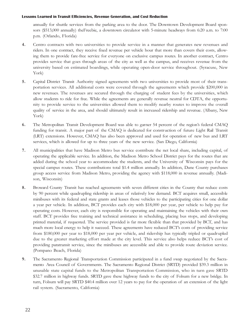annually for shuttle services from the parking area to the door. The Downtown Development Board sponsors (\$513,000 annually) theFreebie, a downtown circulator with 5-minute headways from 6:20 a.m. to 7:00 p.m. (Orlando, Florida)

- 4. Centro contracts with two universities to provide service in a manner that generates new revenues and riders. In one contract, they receive fixed revenue per vehicle hour that more than covers their costs, allowing them to provide fare-free service for everyone on exclusive campus routes. In another contract, Centro provides service that goes through areas of the city as well as the campus, and receives revenue from the university based on estimated boardings, while operating open-door service throughout. (Syracuse, New York)
- 5. Capital District Transit Authority signed agreements with two universities to provide most of their transportation services. All additional costs were covered through the agreements which provide \$200,000 in new revenues. The revenues are secured through the charging of student fees by the universities, which allow students to ride for free. While the agreements are generally revenue neutral for CDTA, the opportunity to provide service to the universities allowed them to modify nearby routes to improve the overall quality of service in the area, and should ultimately result in increased ridership and revenue. (Albany, New York)
- 6. The Metropolitan Transit Development Board was able to garner 54 percent of the region's federal CMAQ funding for transit. A major part of the CMAQ is dedicated for construction of future Light Rail Transit (LRT) extensions. However, CMAQ has also been approved and used for operation of new bus and LRT services, which is allowed for up to three years of the new service. (San Diego, California)
- 7. All municipalities that have Madison Metro bus service contribute the net local share, including capital, of operating the applicable service. In addition, the Madison Metro School District pays for the routes that are added during the school year to accommodate the students, and the University of Wisconsin pays for the special campus routes. These contributions total \$1.4 million annually. In addition, Dane County purchases group access service from Madison Metro, providing the agency with \$118,000 in revenue annually. (Madison, Wisconsin)
- 8. Broward County Transit has reached agreements with seven different cities in the County that reduce costs by 90 percent while quadrupling ridership in areas of relatively low demand. BCT acquires small, accessible minibuses with its federal and state grants and leases those vehicles to the participating cities for one dollar a year per vehicle. In addition, BCT provides each city with \$18,000 per year, per vehicle to help pay for operating costs. However, each city is responsible for operating and maintaining the vehicles with their own staff. BCT provides free training and technical assistance in scheduling, placing bus stops, and developing printed material, if requested. The service provided is far more flexible than that provided by BCT, and has much more local energy to help it succeed. These agreements have reduced BCT's costs of providing service from \$180,000 per year to \$18,000 per year per vehicle, and ridership has typically tripled or quadrupled due to the greater marketing effort made at the city level. This service also helps reduce BCT's cost of providing paratransit service, since the minibuses are accessible and able to provide route deviation service. (Pompano Beach, Florida)
- 9. The Sacramento Regional Transportation Commission participated in a fund swap negotiated by the Sacramento Area Council of Governments. The Sacramento Regional District (SRTD) provided \$39.3 million in unusable state capital funds to the Metropolitan Transportation Commission, who in turn gave SRTD \$32.7 million in highway funds. SRTD gave these highway funds to the city of Folsum for a new bridge. In turn, Folsum will pay SRTD \$40.4 million over 12 years to pay for the operation of an extension of the light rail system. (Sacramento, California)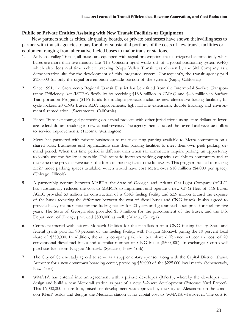### **Public or Private Entities Assisting with New Transit Facilities or Equipment**

New partners such as cities, air quality boards, or private businesses have shown theirwillingness to partner with transit agencies to pay for all or substantial portions of the costs of new transit facilities or equipment ranging from alternative fueled buses to major transfer stations.

- 1 . At Napa Valley Transit, all buses are equipped with signal pre-emption that is triggered automatically when buses are more than five minutes late. The Opticom signal works off of a global positioning system (GPS) which also does real time vehicle tracking. Napa Valley Transit was chosen by the 3M Company as a demonstration site for the development of this integrated system. Consequently, the transit agency paid \$130,000 for only the signal pre-emption upgrade portion of the system. (Napa, California)
- 2. Since 1991, the Sacramento Regional Transit District has benefitted from the Intermodal Surface Transportation Efficiency Act (ISTEA) flexibility by receiving \$18.8 million in CMAQ and \$4.6 million in Surface Transportation Program (STP) funds for multiple projects including new alternative fueling facilities, bicycle lockers, 20 CNG buses, ADA improvements, light rail line extensions, double tracking, and environmental remediation. (Sacramento, California)
- 3. Pierce Transit encouraged partnering on capital projects with other jurisdictions using state dollars to leverage federal dollars resulting in new capital revenue. The agency then allocated the saved local revenue dollars to service improvements. (Tacoma, Washington)
- 4. Metra has partnered with private businesses to make existing parking available to Metra commuters on a shared basis. Businesses and organizations size their parking facilities to meet their own peak parking demand period. When this time period is different than when rail commuters require parking, an opportunity to jointly use the facility is possible. This scenario increases parking capacity available to commuters and at the same time provides revenue in the form of parking fees to the lot owner. This program has led to making 2,527 more parking spaces available, which would have cost Metra over \$10 million (\$4,000 per space). (Chicago, Illinois)
- 5. A partnership venture between MARTA, the State of Georgia, and Atlanta Gas Light Company (AGLC) has substantially reduced the cost to MARTA to implement and operate a new CNG fleet of 118 buses. AGLC provided \$3 million for construction of a CNG fueling facility and \$2.9 million toward the expense of the buses (covering the difference between the cost of diesel buses and CNG buses). It also agreed to provide heavy maintenance for the fueling facility for 20 years and guaranteed a set price for fuel for five years. The State of Georgia also provided \$5.8 million for the procurement of the buses, and the U.S. Department of Energy provided \$500,000 as well. (Atlanta, Georgia)
- 6. Centro partnered with Niagra Mohawk Utilities for the installation of a CNG fueling facility. State and federal grants paid for 90 percent of the fueling facility, with Niagara Mohawk paying the 10 percent local share of \$350,000. In addition, the utility company paid the local share difference between the cost of 20 conventional diesel fuel buses and a similar number of CNG buses (\$500,000). In exchange, Centro will purchase fuel from Niagara Mohawk. (Syracuse, New York)
- 7. The City of Schenectady agreed to serve as a supplementary sponsor along with the Capital District Transit Authority for a new downtown boarding center, providing \$50,000 of the \$225,000 local match. (Schenectady, New York)
- 8. WMATA has entered into an agreement with a private developer (RF&P), whereby the developer will design and build a new Metrorail station as part of a new 342-acre development (Potomac Yard Project). This 16,000,000-square foot, mixed-use development was approved by the City of Alexandria on the condition RF&P builds and designs the Metrorail station at no capital cost to WMATA whatsoever. The cost to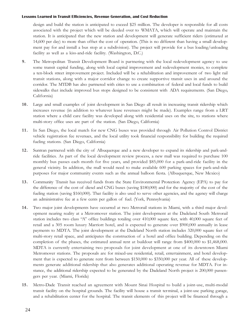design and build the station is anticipated to exceed \$25 million. The developer is responsible for all costs associated with the project which will be deeded over to WMATA, which will operate and maintain the station. It is anticipated that the new station and development will generate sufficient riders (estimated at 14,600 per day) to more than offset the cost of operation. (This is no different than having a small development pay for and install a bus stop at a subdivision). The project will provide for a bus loading/unloading facility as well as a kiss-and-ride facility. (Washington, D.C.)

- 9. The Metropolitan Transit Development Board is partnering with the local redevelopment agency to use some transit capital funding, along with local capital improvement and redevelopment monies, to complete a ten-block street improvement project. Included will be a rehabilitation and improvement of two light rail transit stations, along with a major corridor change to create supportive transit uses in and around the corridor. The MTDB has also partnered with cities to use a combination of federal and local funds to build sidewalks that include improved bus stops designed to be consistent with ADA requirements. (San Diego, California)
- 10. Large and small examples of joint development in San Diego all result in increasing transit ridership which increases revenue (in addition to whatever lease revenues might be made). Examples range from a LRT station where a child care facility was developed along with residential uses on the site, to stations where multi-story office uses are part of the station. (San Diego, California)
- 11. In San Diego, the local match for new CNG buses was provided through Air Pollution Control District vehicle registration fee revenues, and the local utility took financial responsibility for building the required fueling stations. (San Diego, California)
- 12. Suntran partnered with the city of Albuquerque and a new developer to expand its ridership and park-andride facilities. As part of the local development review process, a new mall was required to purchase 100 monthly bus passes each month for five years, and provided \$85,000 for a park-and-ride facility in the general vicinity. In addition, the mall would need to make available 600 parking spaces for park-and-ride purposes for major community events such as the annual balloon fiesta. (Albuquerque, New Mexico)
- 13. Community Transit has received funds from the State Environmental Protection Agency (EPA) to pay for the difference of the cost of diesel and CNG buses (saving \$180,000) and for the majority of the cost of the fueling station (saving \$160,000). That facility is also used to serve other agencies, and the agency will charge an administrative fee at a few cents per gallon of fuel. (York, Pennsylvania)
- 14. Two major joint developments have occurred at two Metrorail stations in Miami, with a third major development nearing reality at a Metromover station. The joint development at the Dadeland South Metrorail station includes two class "A" office buildings totaling over 410,000 square feet, with 40,000 square feet of retail and a 305 room luxury Marriott hotel, and is expected to generate over \$900,000 annually in lease payments to MDTA. The joint development at the Dadeland North station includes 320,000 square feet of multi-story retail space, and anticipates the construction of a hotel and office building. Depending on the completion of the phases, the estimated annual rent at buildout will range from \$400,000 to \$1,468,000. MDTA is currently entertaining two proposals for joint development at one of its downtown Miami Metromover stations. The proposals are for mixed-use residential, retail, entertainment, and hotel development that is expected to generate rent from between \$150,000 to \$350,000 per year. All of these developments generate additional ridership that also generates additional operating revenue for MDTA. For instance, the additional ridership expected to be generated by the Dadeland North project is 200,000 passengers per year. (Miami, Florida)
- 15. Metro-Dade Transit reached an agreement with Mount Sinai Hospital to build a joint-use, multi-modal transit facility on the hospital grounds. The facility will house a transit terminal, a joint-use parking garage, and a rehabilitation center for the hospital. The transit elements of this project will be financed through a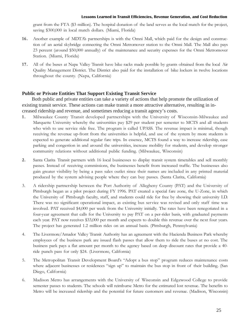grant from the FTA (\$3 million). The hospital donation of the land serves as the local match for the project, saving \$300,000 in local match dollars. (Miami, Florida)

- 16. Another example of MDTAs partnerships is with the Omni Mall, which paid for the design and construction of an aerial skybridge connecting the Omni Metromover station to the Omni Mall. The Mall also pays 23 percent (around \$50,000 annually) of the maintenance and security expenses for the Omni Metromover Station. (Miami, Florida)
- 17. All of the buses at Napa Valley Transit have bike racks made possible by grants obtained from the local Air Quality Management District. The District also paid for the installation of bike lockers in twelve locations throughout the county. (Napa, California)

### **Public or Private Entities That Support Existing Transit Service**

Both public and private entities can take a variety of actions that help promote the utilization of existing transit service. These actions can make transit a more attractive alternative, resulting in increased ridership and revenue, and sometimes reducing a transit agency's costs.

- 1 . Milwaukee County Transit developed partnerships with the University of Wisconsin-Milwaukee and Marquette University whereby the universities pay \$29 per student per semester to MCTS and all students who wish to use service ride free. The program is called UPASS. The revenue impact is minimal, though receiving the revenue up-front from the universities is helpful, and use of the system by more students is expected to generate additional regular fare trips. In essence, MCTS found a way to increase ridership, ease parking and congestion in and around the universities, increase mobility for students, and develop stronger community relations without additional public funding. (Milwaukee, Wisconsin)
- 2. Santa Clarita Transit partners with 16 local businesses to display transit system timetables and sell monthly passes. Instead of receiving commissions, the businesses benefit from increased traffic. The businesses also gain greater visibility by being a pass sales outlet since their names are included in any printed material produced by the system advising people where they can buy passes. (Santa Clarita, California)
- 3. A ridership partnership between the Port Authority of Allegheny County (PAT) and the University of Pittsburgh began as a pilot project during FY 1996. PAT created a special fare zone, the U-Zone, in which the University of Pittsburgh faculty, staff, and students could ride for free by showing their university I.D. There was no significant operational impact, as existing bus service was revised and only staff time was involved. PAT received \$4,000 per week from the University initially. The rates have been renegotiated in a four-year agreement that calls for the University to pay PAT on a per-rider basis, with graduated payments each year. PAT now receives \$33,000 per month and expects to double this revenue over the next four years. The project has generated 1.2 million rides on an annual basis. (Pittsburgh, Pennsylvania)
- 4. The Livermore/Amador Valley Transit Authority has an agreement with the Hacienda Business Park whereby employees of the business park are issued flash passes that allow them to ride the buses at no cost. The business park pays a flat amount per month to the agency based on deep discount rates that provide a 40 ride punch pass for only \$24. (Livermore, California)
- 5. The Metropolitan Transit Development Board's "Adopt a bus stop" program reduces maintenance costs where adjacent businesses or residences "sign up" to maintain the bus stop in front of their building. (San Diego, California)
- 6. Madison Metro has arrangements with the University of Wisconsin and Edgewood College to provide semester passes to students. The schools will reimburse Metro for the estimated lost revenue. The benefits to Metro will be increased ridership and the potential for future customers and revenue. (Madison, Wisconsin)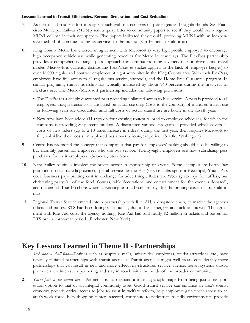- 7. As part of a broader effort to stay in touch with the concerns of passengers and neighborhoods, San Francisco Municipal Railway (MUNI) sent a query letter to community papers to see if they would like a regular MUNI column in their newspapers. Five papers indicated they would, providing MUNI with an inexpensive method of communicating its services to the public. (San Francisco, California)
- 8. King County Metro has entered an agreement with Microsoft (a very high profile employer) to encourage high occupancy vehicle use while generating revenues for Metro in new ways. The FlexPass partnership provides a comprehensive single pass approach for commuters using a variety of non-drive-alone travel modes. Microsoft is currently distributing FlexPasses (a sticker applied to the back of employee badges) to over 16,000 regular and contract employees at eight work sites in the King County area. With their FlexPass, employees have free access to all regular bus service, vanpools, and the Home Free Guarantee program. In similar programs, transit ridership has typically increased by about 140 percent during the first year of FlexPass use. The Metro/Microsoft partnership includes the following provisions:
	- The FlexPass is a deeply discounted pass providing unlimited access to bus service. A pass is provided to all employees, though transit costs are based on actual use only. Costs to the company of increased transit use in following years are discounted, until full costs of actual transit use are borne in the fourth year.
	- New trips have been added (11 trips on four existing routes) tailored to employee schedules, for which the company is providing 80 percent funding. A discounted vanpool program is provided which covers all costs of new riders (up to a 10 times increase in riders) during the first year, then requires Microsoft to fully subsidize these costs on a phased basis over a four-year period. (Seattle, Washington)
- 9. Centro has promoted the concept that companies that pay for employees' parking should also be willing to buy monthly passes for employees who use bus service. Twenty-eight employers are now subsidizing pass purchases for their employees. (Syracuse, New York)
- 10. Napa Valley routinely involves the private sector in sponsorship of events. Some examples are Earth Day promotions (local recycling center), special service for the Fair (service clubs sponsor free trips), Youth Pass (local business pays printing cost in exchange for advertising), Rideshare Week (giveaways for raffles), bus christening party (all of the food, flowers, table decorations, and entertainment for the event is donated), and the annual Tour brochure where advertising on the brochure pays for the printing costs. (Napa, California)
- 11. Regional Transit Service entered into a partnership with Rite Aid, a drugstore chain, to market the agencys tickets and passes. RTS had been losing sales outlets, due to bank mergers and lack of interest. The agreement with Rite Aid costs the agency nothing. Rite Aid has sold nearly \$2 million in tickets and passes for RTS over a three-year period. (Rochester, New York)

### **Key Lessons Learned in Theme II - Partnerships**

- 1. Seek and ye shall find—Entities such as hospitals, malls, universities, employers, tourist attractions, etc., have typically initiated partnerships with transit agencies. Transit agencies might well create considerably more partnerships that can result in new and more effectively-structured service. Hence, transit systems should promote their interest in partnering and stay in touch with the needs of the broader community.
- 2. You're part of the family now—Partnerships help expand a transit agency's image from being just a transportation option to that of an integral community asset. Good transit service can enhance an areas tourist economy, provide critical access to jobs to assist in welfare reform, help employers gain wider access to an area's work force, help shopping centers succeed, contribute to pedestrian friendly environments, provide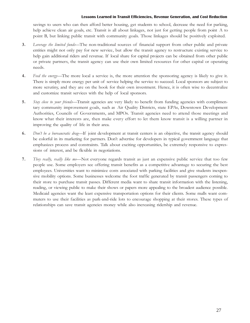savings to users who can then afford better housing, get students to school, decrease the need for parking, help achieve clean air goals, etc. Transit is all about linkages, not just for getting people from point A to point B, but linking public transit with community goals. Those linkages should be positively exploited.

- 3. Leverage the limited funds—The non-traditional sources of financial support from other public and private entities might not only pay for new service, but allow the transit agency to restructure existing service to help gain additional riders and revenue. If local share for capital projects can be obtained from other public or private partners, the transit agency can use their own limited resources for other capital or operating needs.
- 4. Feed the energy—The more local a service is, the more attention the sponsoring agency is likely to give it. There is simply more energy per unit of service helping the service to succeed. Local sponsors are subject to more scrutiny, and they are on the hook for their own investment. Hence, it is often wise to decentralize and customize transit services with the help of local sponsors.
- 5. Stay close to your friends—Transit agencies are very likely to benefit from funding agencies with complimentary community improvement goals, such as Air Quality Districts, state EPAs, Downtown Development Authorities, Councils of Governments, and MPOs. Transit agencies need to attend those meetings and know what their interests are, then make every effort to let them know transit is a willing partner in improving the quality of life in their area.
- 6. Don't be a bureaucratic drag—If joint development at transit centers is an objective, the transit agency should be colorful in its marketing for partners. Don't advertise for developers in typical government language that emphasizes process and constraints. Talk about exciting opportunities, be extremely responsive to expressions of interest, and be flexible in negotiations.
- 7. They really, really like me-Not everyone regards transit as just an expensive public service that too few people use. Some employers see offering transit benefits as a competitive advantage to securing the best employees. Universities want to minimize costs associated with parking facilities and give students inexpensive mobility options. Some businesses welcome the foot traffic generated by transit passengers coming to their store to purchase transit passes. Different media want to share transit information with the listening, reading, or viewing public to make their shows or papers more appealing to the broadest audience possible. Medicaid agencies want the least expensive transportation options for their clients. Some malls want commuters to use their facilities as park-and-ride lots to encourage shopping at their stores. These types of relationships can save transit agencies money while also increasing ridership and revenue.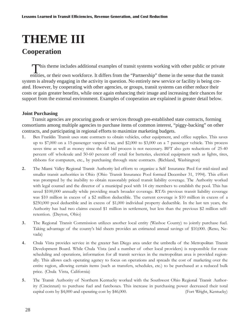# **THEME III**

### **Cooperation**

This theme includes additional examples of transit systems working with other public or private

entities, or their own workforce. It differs from the "Partnership" theme in the sense that the transit system is already engaging in the activity in question. No entirely new service or facility is being created. However, by cooperating with other agencies, or groups, transit systems can either reduce their costs or gain greater benefits, while once again enhancing their image and increasing their chances for support from the external environment. Examples of cooperation are explained in greater detail below.

### **Joint Purchasing**

Transit agencies are procuring goods or services through pre-established state contracts, forming consortiums among multiple agencies to purchase items of common interest, "piggy-backing" on other contracts, and participating in regional efforts to maximize marketing budgets.

- 1 . Ben Franklin Transit uses state contracts to obtain vehicles, other equipment, and office supplies. This saves up to \$7,000 on a 15-passenger vanpool van, and \$2,000 to \$3,000 on a 7 passenger vehicle. This process saves time as well as money since the full bid process is not necessary. BFT also gets reductions of 25-40 percent off wholesale and 50-60 percent off retail for batteries, electrical equipment such as lights, tires, ribbons for computers, etc., by purchasing through state contracts. (Richland, Washington)
- 2. The Miami Valley Regional Transit Authority led efforts to organize a Self Insurance Pool for mid-sized and smaller transit authorities in Ohio (Ohio Transit Insurance Pool formed December 31, 1994). This effort was prompted by the inability to obtain reasonably priced transit liability coverage. The Authority worked with legal counsel and the director of a municipal pool with 14 city members to establish the pool. This has saved \$100,000 annually while providing much broader coverage. RTAs previous transit liability coverage was \$10 million in excess of a \$2 million deductible. The current coverage is \$10 million in excess of a \$250,000 pool deductible and in excess of \$1,000 individual property deductible. In the last ten years, the Authority has had two claims exceed \$1 million in settlement, but less than the previous \$2 million selfretention. (Dayton, Ohio)
- 3. The Regional Transit Commission utilizes another local entity (Washoe County) to jointly purchase fuel. Taking advantage of the countys bid sheets provides an estimated annual savings of \$10,000. (Reno, Nevada)
- 4. Chula Vista provides service in the greater San Diego area under the umbrella of the Metropolitan Transit Development Board. While Chula Vista (and a number of other local providers) is responsible for route scheduling and operations, information for all transit services in the metropolitan area is provided regionally. This allows each operating agency to focus on operations and spreads the cost of marketing over the entire region, allowing certain items (such as transfers, schedules, etc.) to be purchased at a reduced bulk price. (Chula Vista, California)
- 5. The Transit Authority of Northern Kentucky worked with the Southwest Ohio Regional Transit Authority (Cincinnati) to purchase fuel and fareboxes. This increase in purchasing power decreased their total capital costs by \$4,000 and operating cost by \$46,000. (Fort Wright, Kentucky)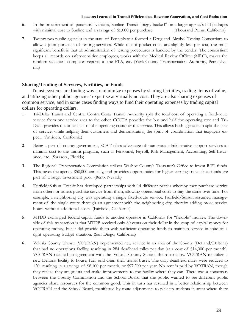- 6. In the procurement of paratransit vehicles, Sunline Transit "piggy backed" on a larger agency's bid packages with minimal cost to Sunline and a savings of \$5,000 per purchase. (Thousand Palms, California)
- 7. Twenty-two public agencies in the state of Pennsylvania formed a Drug and Alcohol Testing Consortium to allow a joint purchase of testing services. While out-of-pocket costs are slightly less per test, the most significant benefit is that all administration of testing procedures is handled by the vendor. The consortium keeps all records on safety-sensitive employees, works with the Medical Review Officer (MRO), makes the random selection, completes reports to the FTA, etc. (York County Transportation Authority, Pennsylvania)

### **Sharing/Trading of Services, Facilities, or Funds**

Transit systems are finding ways to minimize expenses by sharing facilities, trading items of value, and utilizing other public agencies' expertise at virtually no cost. They are also sharing expenses of common service, and in some cases finding ways to fund their operating expenses by trading capital dollars for operating dollars.

- 1. Tri-Delta Transit and Central Contra Costa Transit Authority split the total cost of operating a fixed-route service from one service area to the other. CCCTA provides the bus and half the operating cost and Tri-Delta provides the other half of the operating costs for the service. This allows both agencies to split the cost of service, while helping their customers and demonstrating the spirit of coordination that taxpayers expect. (Antioch, California)
- 2. Being a part of county government, SCAT takes advantage of numerous administrative support services at minimal cost to the transit program, such as Personnel, Payroll, Risk Management, Accounting, Self-Insurance, etc. (Sarasota, Florida)
- 3. The Regional Transportation Commission utilizes Washoe Countys Treasurers Office to invest RTC funds. This saves the agency \$50,000 annually, and provides opportunities for higher earnings rates since funds are part of a larger investment pool. (Reno, Nevada)
- 4. Fairfield/Suisun Transit has developed partnerships with 14 different parties whereby they purchase service from others or others purchase service from them, allowing operational costs to stay the same over time. For example, a neighboring city was operating a single fixed-route service. Fairfield/Suisun assumed management of the single route through an agreement with the neighboring city, thereby adding more service hours without additional costs. (Fairfield, California)
- 5. MTDB exchanged federal capital funds to another operator in California for "flexible" monies. The downside of this transaction is that MTDB received only 80 cents on their dollar in the swap of capital money for operating money, but it did provide them with sufficient operating funds to maintain service in spite of a tight operating budget situation. (San Diego, California)
- 6. Volusia County Transit (VOTRAN) implemented new service in an area of the County (DeLand/Deltona) that had no operations facility, resulting in 284 deadhead miles per day (at a cost of \$14,000 per month). VOTRAN reached an agreement with the Volusia County School Board to allow VOTRAN to utilize a new Deltona facility to house, fuel, and clean their transit buses. The daily deadhead miles were reduced to 120, resulting in a savings of \$8,100 per month, or \$97,200 per year. No rent is paid by VOTRAN, though they realize they are guests and make improvements to the facility where they can. There was a consensus between the County Commission and the School Board that the public wanted to see different public agencies share resources for the common good. This in turn has resulted in a better relationship between VOTRAN and the School Board, manifested by route adjustments to pick up students in areas where there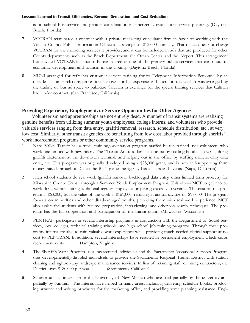is no school bus service and greater coordination in emergency evacuation service planning. (Daytona Beach, Florida)

- 7. VOTRAN terminated a contract with a private marketing consultant firm in favor of working with the Volusia County Public Information Office at a savings of \$12,000 annually. That office does not charge VOTRAN for the marketing services it provides, and it can be included in ads that are produced for other County departments such as the Beach Department, the Ocean Center, and the Airport. This arrangement has elevated VOTRAN's status to be considered as one of the primary public services that contribute to economic development and tourism in the County. (Daytona Beach, Florida)
- 8. MUNI arranged for refresher customer service training for its Telephone Information Personnel by an outside customer relations professional known for his expertise and attention to detail. It was arranged by the trading of bus ad space to publicize CalTrain in exchange for the special training services that Caltrain had under contract. (San Francisco, California)

### **Providing Experience, Employment, or Service Opportunities for Other Agencies**

Volunteerism and apprenticeships are not entirely dead. A number of transit systems are realizing genuine benefits from utilizing summer youth employees, college interns, and volunteers who provide valuable services ranging from data entry, graffiti removal, research, schedule distribution, etc., at very low cost. Similarly, other transit agencies are benefitting from low cost labor provided through sheriffs' work incarceration programs or other community service programs.

- 1. Napa Valley Transit has a travel training/orientation program staffed by ten trained user-volunteers who work one on one with new riders. The "Transit Ambassadors" also assist by staffing booths at events, doing graffiti abatement at the downtown terminal, and helping out in the office by stuffing mailers, daily data entry, etc. This program was originally developed using a \$25,000 grant, and is now self-supporting from money raised through a "Catch the Bus" game the agency has at fairs and events. (Napa, California)
- 2. High school students do real work (graffiti removal, backlogged data entry, other limited term projects) for Milwaukee County Transit through a Summer Youth Employment Program. This allows MCT to get needed work done without hiring additional regular employees or paying excessive overtime. The cost of the program is \$63,000, but the value of the work is \$161,000, resulting in annual savings of \$98,000. The program focuses on minorities and other disadvantaged youths, providing them with real work experience. MCT also assists the students with resume preparation, interviewing, and other job search techniques. The program has the full cooperation and participation of the transit union. (Milwaukee, Wisconsin)
- 3. PENTRAN participates in several internship programs in conjunction with the Department of Social Services, local colleges, technical training schools, and high school job training programs. Through these programs, interns are able to gain valuable work experience while providing much needed clerical support at no cost to PENTRAN. In addition, several internships have resulted in permanent employment which curbs recruitment costs. (Hampton, Virginia)
- 4. The Sheriff's Work Program uses incarcerated individuals and the Sacramento Vocational Services Program uses developmentally-disabled individuals to provide the Sacramento Regional Transit District with station cleaning and right-of-way landscape maintenance services. In lieu of retaining staff or hiring contractors, the District saves \$180,000 per year. (Sacramento, California)
- 5. Suntran utilizes interns from the University of New Mexico who are paid partially by the university and partially by Suntran. The interns have helped in many areas, including delivering schedule books, producing artwork and writing brochures for the marketing office, and providing some planning assistance. Engi-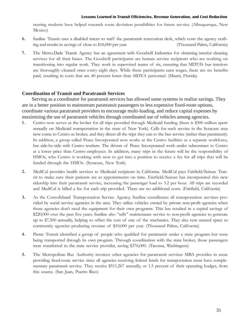neering students have helped research route deviation possibilities for future service. (Albuquerque, New Mexico)

- 6. Sunline Transit uses a disabled intern to staff the paratransit reservation desk, which costs the agency nothing and results in savings of close to \$18,000 per year. (Thousand Palms, California)
- 7. The Metro-Dade Transit Agency has an agreement with Goodwill Industries for obtaining interior cleaning services for all their buses. The Goodwill participants are human service recipients who are working on transitioning into regular work. They work in supervised teams of six, ensuring that MDTAs bus interiors are thoroughly cleaned once every eight days. While these participants earn wages, there are no benefits paid, resulting in costs that are 40 percent lower than MDTA personnel. (Miami, Florida)

### **Coordination of Transit and Paratransit Services**

Serving as a coordinator for paratransit services has allowed some systems to realize savings. They are in a better position to mainstream paratransit passengers to less expensive fixed-route options, coordinate various paratransit providers to encourage multi-loading, and reduce capital expenses by maximizing the use of paratransit vehicles through coordinated use of vehicles among agencies.

- 1 . Centro now serves as the broker for all trips provided through Medicaid funding (there is \$300 million spent annually on Medicaid transportation in the state of New York). Calls for such service in the Syracuse area now come to Centro as broker, and they direct all the trips they can to the bus service (rather than paratransit). In addition, a group called Peace Incorporated now works at the Centro facilities as a separate workforce, but side-by-side with Centro workers. The drivers of Peace Incorporated work under subcontract to Centro at a lower price than Centro employees. In addition, many trips in the future will be the responsibility of HMOs, who Centro is working with now to get into a position to receive a fee for all trips that will be funded through the HMOs. (Syracuse, New York)
- 2. MediCal provides health services to Medicaid recipients in California. MediCal pays Fairfield/Suisun Transit to make sure their patients are at appointments on time. Fairfield/Suisun has incorporated this new ridership into their paratransit service, increasing the passenger load to 3.2 per hour. All trips are recorded and MediCal is billed a fee for each trip provided. There are no additional costs. (Fairfield, California)
- 3. As the Consolidated Transportation Service Agency, Sunline coordinates all transportation services provided by social service agencies in the area. They utilize vehicles owned by private non-profit agencies when those agencies don't need the equipment for their own programs. This has resulted in a capital savings of \$220,000 over the past five years. Sunline also "sells" maintenance service to non-profit agencies to generate up to \$7,500 annually, helping to offset the cost of one of the mechanics. They also rent unused space to community agencies producing revenue of \$10,000 per year. (Thousand Palms, California)
- 4. Pierce Transit identified a group of people who qualified for paratransit under a state program but were being transported through its own program. Through coordination with the state broker, those passengers were transferred to the state service provider, saving \$376,000. (Tacoma, Washington)
- 5. The Metropolitan Bus Authority invoices other agencies for paratransit services MBA provides in areas providing fixed-route service since all agencies receiving federal funds for transportation must have complementary paratransit service. They receive \$511,267 annually, or 1.5 percent of their operating budget, from this source. (San Juan, Puerto Rico)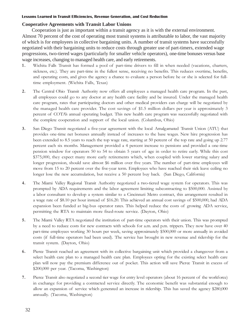### **Cooperative Agreements with Transit Labor Unions**

Cooperation is just as important within a transit agency as it is with the external environment. Almost 70 percent of the cost of operating most transit systems is attributable to labor, the vast majority of which is for employees in collective bargaining units. A number of transit systems have successfully negotiated with their bargaining units to reduce costs through greater use of part-timers, extended wage progressions, two-tiered wages (particularly for smaller vehicle operators), one-time bonuses versus base wage increases, changing to managed health care, and early retirements.

- 1 . Wichita Falls Transit has formed a pool of part-time drivers to fill in when needed (vacations, charters, sickness, etc.). They are part-time in the fullest sense, receiving no benefits. This reduces overtime, benefits, and operating costs, and gives the agency a chance to evaluate a person before he or she is selected for fulltime employment. (Wichita Falls, Texas)
- 2. The Central Ohio Transit Authority now offers all employees a managed health care program. In the past, all employees could go to any doctor at any health care facility and be insured. Under the managed health care program, rates that participating doctors and other medical providers can charge will be negotiated by the managed health care provider. The cost savings of \$1.5 million dollars per year is approximately 3 percent of COTAs annual operating budget. This new health care program was successfully negotiated with the complete cooperation and support of the local union. (Columbus, Ohio)
- 3. San Diego Transit negotiated a five-year agreement with the local Amalgamated Transit Union (ATU) that provides one-time net bonuses annually instead of increases to the base wages. New hire progression has been extended to 8.5 years to reach the top wage rate, starting at 50 percent of the top rate and going up 2.77 percent each six months. Management provided a 4 percent increase to pensions and provided a one-time pension window for operators 50 to 54 to obtain 5 years of age in order to retire early. While this cost \$375,000, they expect many more early retirements which, when coupled with lower starting salary and longer progression, should save almost \$6 million over five years. The number of part-time employees will move from 15 to 20 percent over the five-year term. Employees who have reached their sick leave ceiling no longer lose the new accumulation, but receive a 50 percent buy back. (San Diego, California)
- 4. The Miami Valley Regional Transit Authority negotiated a two-tiered wage system for operators. This was prompted by ADA requirements and the labor agreement limiting subcontracting to \$500,000. Assisted by a labor consultant to develop a system similar to a Cincinnati Metro contract, this arrangement resulted in a wage rate of \$8.10 per hour instead of \$16.20. This achieved an annual cost savings of \$500,000, had ADA expansion been funded at big-bus operator rates. This helped reduce the costs of growing ADA service, permitting the RTA to maintain more fixed-route service. (Dayton, Ohio)
- 5. The Miami Valley RTA negotiated the institution of part-time operators with their union. This was prompted by a need to reduce costs for new contracts with schools for a.m. and p.m. trippers. They now have over 40 part-time employees working 30 hours per week, saving approximately \$500,000 or more annually in avoided costs (if full-time operators had been used). The service has brought in new revenue and ridership for the transit system. (Dayton, Ohio)
- 6. Pierce Transit reached an agreement with its collective bargaining unit which provided a changeover from a select health care plan to a managed health care plan. Employees opting for the existing select health care plan will now pay the premium difference out of pocket. This action will save Pierce Transit in excess of \$200,000 per year. (Tacoma, Washington)
- 7. Pierce Transit also negotiated a second tier wage for entry level operators (about 16 percent of the workforce) in exchange for providing a contracted service directly. The economic benefit was substantial enough to allow an expansion of service which generated an increase in ridership. This has saved the agency \$280,000 annually. (Tacoma, Washington)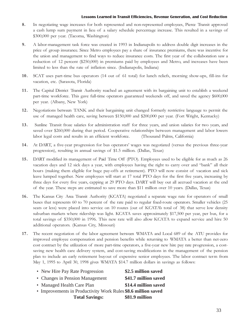- 8. In negotiating wage increases for both represented and non-represented employees, Pierce Transit approved a cash lump sum payment in lieu of a salary schedule percentage increase. This resulted in a savings of \$300,000 per year. (Tacoma, Washington)
- 9. A labor-management task force was created in 1993 in Indianapolis to address double digit increases in the price of group insurance. Since Metro employees pay a share of insurance premiums, there was incentive for the union and management to find ways to reduce insurance costs. The first year of the collaboration saw a reduction of 12 percent (\$250,000) in premiums paid by employees and Metro, and increases have been limited to less than the rate of inflation since. (Indianapolis, Indiana)
- 10. SCAT uses part-time bus operators (14 out of 61 total) for lunch reliefs, morning show-ups, fill-ins for vacation, etc. (Sarasota, Florida)
- 11. The Capital District Transit Authority reached an agreement with its bargaining unit to establish a weekend part-time workforce. This gave full-time operators guaranteed weekends off, and saved the agency \$600,000 per year. (Albany, New York)
- 12. Negotiations between TANK and their bargaining unit changed formerly restrictive language to permit the use of managed health care, saving between \$150,000 and \$200,000 per year. (Fort Wright, Kentucky)
- 13. Sunline Transit froze salaries for administration staff for three years, and union salaries for two years, and saved over \$260,000 during that period. Cooperative relationships between management and labor lowers labor legal costs and results in an efficient workforce. (Thousand Palms, California)
- 14. At DART, a five-year progression for bus operators' wages was negotiated (versus the previous three-year progression), resulting in annual savings of \$1.5 million. (Dallas, Texas)
- 15. DART modified its management of Paid Time Off (PTO). Employees used to be eligible for as much as 26 vacation days and 12 sick days a year, with employees having the right to carry over and "bank" all their hours (making them eligible for huge pay-offs at retirement). PTO will now consist of vacation and sick leave lumped together. New employees will start at 17 total PTO days for the first five years, increasing by three days for every five years, capping at 29 PTO days. DART will buy out all accrued vacation at the end of the year. These steps are estimated to save more than \$11 million over 10 years. (Dallas, Texas)
- 16. The Kansas City Area Transit Authority (KCATA) negotiated a separate wage rate for operators of small buses that represents 60 to 70 percent of the rate paid to regular fixed-route operators. Smaller vehicles (25 seats or less) were placed into service on 10 routes (out of KCATAs total of 38) that serve low density suburban markets where ridership was light. KCATA saves approximately \$17,500 per year, per bus, for a total savings of \$350,000 in 1996. This new rate will also allow KCATA to expand service and hire 50 additional operators. (Kansas City, Missouri)
- 17. The recent negotiation of the labor agreement between WMATA and Local 689 of the ATU provides for improved employee compensation and pension benefits while returning to WMATA a better than net-zero cost contract by the utilization of more part-time operators, a five-year new hire pay rate progression, a costsaving new health care delivery system, and cost-saving modifications in the management of the pension plan to include an early retirement buyout of expensive senior employees. The labor contract term from May 1, 1995 to April 30, 1998 gives WMATA \$14.7 million dollars in savings as follows:

| • New Hire Pay Rate Progression                               | \$2.5 million saved  |
|---------------------------------------------------------------|----------------------|
| • Changes in Pension Management                               | \$41.7 million saved |
| • Managed Health Care Plan                                    | \$14.4 million saved |
| • Improvements in Productivity Work Rules \$8.6 million saved |                      |
| <b>Total Savings:</b>                                         | \$81.9 million       |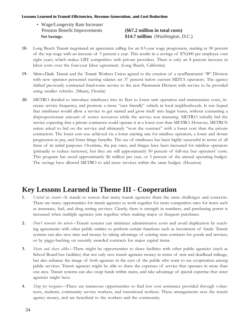•Wage/Longevity Rate Increase/ Pension Benefit Improvements **(\$67.2 million in total costs)**

 **Net Savings: \$14.7 million** (*Washington, D.C.*)

- 18. Long Beach Transit negotiated an agreement calling for an 8.5-year wage progression, starting at 50 percent of the top wage with an increase of 5 percent a year. This results in a savings of \$70,000 per employee over eight years, which makes LBT competitive with private providers. There is only an 8 percent increase in labor costs over the four-year labor agreement. (Long Beach, California)
- 19. Metro-Dade Transit and the Transit Workers Union agreed to the creation of a newParatransit "B" Division with new operator personnel starting salaries set 37 percent below current MDTA operators. The agency shifted previously contracted fixed-route service to the new Paratransit Division with service to be provided using smaller vehicles. (Miami, Florida)
- 20. METRO decided to introduce minibuses into its fleet to lower unit operation and maintenance costs, increase service frequency, and promote a more "user friendly" vehicle in local neighborhoods. It was hoped that minibuses would allow a service to get started and grow itself into larger buses, without consuming a disproportionate amount of scarce resources while the service was maturing. METRO initially bid the service expecting that a private contractor could operate it at a lower cost than METRO. However, METROs union asked to bid on the service and ultimately "won the contract" with a lower cost than the private contractors. The lower cost was achieved via a lower starting rate for minibus operators, a lower and slower progression in pay, and fewer fringe benefits. The use of minibuses has been highly successful in terms of all three of its initial purposes. Overtime, the pay rates, and fringes have been increased for minibus operators (primarily to reduce turnover), but they are still approximately 50 percent of full-size bus operators' costs. This program has saved approximately \$6 million per year, or 3 percent of the annual operating budget. The savings have allowed METRO to add more services within the same budget. (Houston)

### **Key Lessons Learned in Theme III - Cooperation**

- 1. United we stand—It stands to reason that many transit agencies share the same challenges and concerns. There are many opportunities for transit agencies to work together for more competitive rates for items such as insurance, fuel, and drug testing services. Clearly, there is strength in numbers, and purchasing power is increased when multiple agencies join together when making major or frequent purchases.
- 2. Don't reinvent the wheel—Transit systems can minimize administrative costs and avoid duplication by reaching agreements with other public entities to perform certain functions such as investment of funds. Transit systems can also save time and money by taking advantage of existing state contracts for goods and services, or by piggy-backing on recently awarded contracts for major capital items.
- 3. Share and share alike-There might be opportunities to share facilities with other public agencies (such as School Board bus facilities) that not only save transit agencies money in terms of rent and deadhead mileage, but also enhance the image of both agencies in the eyes of the public who want to see cooperation among public services. Transit agencies might be able to share the expenses of service that operates in more than one area. Transit systems can also swap funds within states, and take advantage of special expertise that sister agencies might have.
- 4. Shop for bargains—There are numerous opportunities to find low cost assistance provided through volunteers, students, community service workers, and transitional workers. These arrangements save the transit agency money, and are beneficial to the workers and the community.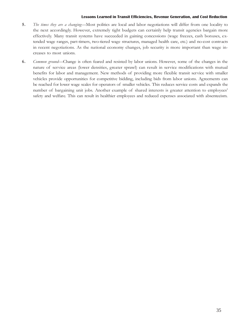- 5. The times they are a changing-Most politics are local and labor negotiations will differ from one locality to the next accordingly. However, extremely tight budgets can certainly help transit agencies bargain more effectively. Many transit systems have succeeded in gaining concessions (wage freezes, cash bonuses, extended wage ranges, part-timers, two-tiered wage structures, managed health care, etc.) and no-cost contracts in recent negotiations. As the national economy changes, job security is more important than wage increases to most unions.
- 6. Common ground—Change is often feared and resisted by labor unions. However, some of the changes in the nature of service areas (lower densities, greater sprawl) can result in service modifications with mutual benefits for labor and management. New methods of providing more flexible transit service with smaller vehicles provide opportunities for competitive bidding, including bids from labor unions. Agreements can be reached for lower wage scales for operators of smaller vehicles. This reduces service costs and expands the number of bargaining unit jobs. Another example of shared interests is greater attention to employees safety and welfare. This can result in healthier employees and reduced expenses associated with absenteeism.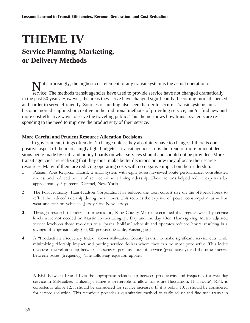# **THEME IV**

### **Service Planning, Marketing, or Delivery Methods**

Not surprisingly, the highest cost element of any transit system is the actual operation of service. The methods transit agencies have used to provide service have not changed dramatically in the past 50 years. However, the areas they serve have changed significantly, becoming more dispersed and harder to serve efficiently. Sources of funding also seem harder to secure. Transit systems must become more disciplined or creative in the traditional methods of providing service, and/or find new and more cost-effective ways to serve the traveling public. This theme shows how transit systems are responding to the need to improve the productivity of their service.

### **More Careful and Prudent Resource Allocation Decisions**

In government, things often don't change unless they absolutely have to change. If there is one positive aspect of the increasingly tight budgets at transit agencies, it is the trend of more prudent decisions being made by staff and policy boards on what services should and should not be provided. More transit agencies are realizing that they must make better decisions on how they allocate their scarce resources. Many of them are reducing operating costs with no negative impact on their ridership.

- 1 . Putnam Area Regional Transit, a small system with eight buses, reviewed route performance, consolidated routes, and reduced hours of service without losing ridership. These actions helped reduce expenses by approximately 5 percent. (Carmel, New York)
- 2. The Port Authority Trans-Hudson Corporation has reduced the train consist size on the off-peak hours to reflect the reduced ridership during those hours. This reduces the expense of power consumption, as well as wear and tear on vehicles. (Jersey City, New Jersey)
- 3. Through research of ridership information, King County Metro determined that regular weekday service levels were not needed on Martin Luther King, Jr. Day and the day after Thanksgiving. Metro adjusted service levels on those two days to a "partial holiday" schedule and operates reduced hours, resulting in a savings of approximately \$35,000 per year. (Seattle, Washington)
- 4. A "Productivity Frequency Index" allows Milwaukee County Transit to make significant service cuts while minimizing ridership impact and putting service dollars where they can be most productive. This index measures the relationship between passengers per bus hour of service (productivity) and the time interval between buses (frequency). The following equation applies:

A P.F.I. between 10 and 12 is the appropriate relationship between productivity and frequency for weekday service in Milwaukee. Utilizing a range is preferable to allow for route fluctuation. If a route's P.F.I. is consistently above 12, it should be considered for service increases. If it is below 10, it should be considered for service reduction. This technique provides a quantitative method to easily adjust and fine tune transit in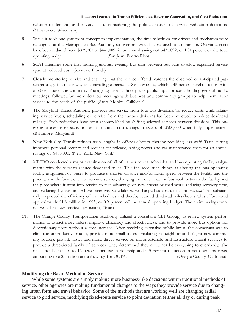relation to demand, and is very useful considering the political nature of service reduction decisions. (Milwaukee, Wisconsin)

- 5. While it took one year from concept to implementation, the time schedules for drivers and mechanics were redesigned at the Metropolitan Bus Authority so overtime would be reduced to a minimum. Overtime costs have been reduced from \$876,781 to \$440,889 for an annual savings of \$435,892, or 1.31 percent of the total operating budget. (San Juan, Puerto Rico)
- 6. SCAT interlines some first morning and last evening bus trips between bus runs to allow expanded service span at reduced cost. (Sarasota, Florida)
- 7. Closely monitoring service and ensuring that the service offered matches the observed or anticipated passenger usage is a major way of controlling expenses at Santa Monica, which a 45 percent farebox return with a 50-cent base fare confirms. The agency uses a three phase public input process, holding general public meetings, followed by more detailed meetings with business and community groups to help them tailor service to the needs of the public. (Santa Monica, California)
- 8. The Maryland Transit Authority provides bus service from four bus divisions. To reduce costs while retaining service levels, scheduling of service from the various divisions has been reviewed to reduce deadhead mileage. Such reductions have been accomplished by shifting selected services between divisions. This ongoing process is expected to result in annual cost savings in excess of \$500,000 when fully implemented. (Baltimore, Maryland)
- 9. New York City Transit reduces train lengths in off-peak hours, thereby requiring less staff. Train cutting improves personal security and reduces car mileage, saving power and car maintenance costs for an annual savings of \$405,000. (New York, New York)
- 10. METRO conducted a major examination of all of its bus routes, schedules, and bus operating facility assignments with the view to reduce deadhead miles. This included such things as altering the bus operating facility assignment of buses to produce a shorter distance and/or faster speed between the facility and the place where the bus went into revenue service, changing the route that the bus took between the facility and the place where it went into service to take advantage of new streets or road work, reducing recovery time, and reducing layover time where excessive. Schedules were changed as a result of this review. This substantially improved the efficiency of the schedules and thereby reduced deadhead miles/hours. This effort saved approximately \$1.8 million in 1995, or 0.9 percent of the annual operating budget. The entire savings were reinvested in new services. (Houston, Texas)
- 11. The Orange County Transportation Authority utilized a consultant (IBI Group) to review system performance to attract more riders, improve efficiency and effectiveness, and to provide more bus options for discretionary users without a cost increase. After receiving extensive public input, the consensus was to eliminate unproductive routes, provide more small buses circulating in neighborhoods (eight new community routes), provide faster and more direct service on major arterials, and restructure transit services to provide a three-tiered family of services. They determined they could not be everything to everybody. The result has been a 10 to 15 percent increase in ridership and a 5 percent reduction in net operating costs, amounting to a \$5 million annual savings for OCTA. (Orange County, California)

### **Modifying the Basic Method of Service**

While some systems are simply making more business-like decisions within traditional methods of service, other agencies are making fundamental changes to the ways they provide service due to changing urban form and travel behavior. Some of the methods that are working well are changing radial service to grid service, modifying fixed-route service to point deviation (either all day or during peak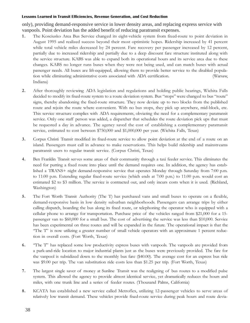only), providing demand-responsive service in lower density areas, and replacing express service with vanpools. Point deviation has the added benefit of reducing paratransit expenses.

- 1 . The Kosciusko Area Bus Service changed its eight-vehicle system from fixed-route to point deviation in August 1995 and realized success beyond their most optimistic hopes. Ridership increased by 41 percent while total vehicle miles decreased by 24 percent. Fare recovery per passenger increased by 12 percent, partially due to increased ridership and partially due to a deep discount fare structure instituted along with the service structure. KABS was able to expand both its operational hours and its service area due to these changes. KABS no longer runs buses when they were not being used, and can match buses with actual passenger needs. All buses are lift-equipped, allowing them to provide better service to the disabled population while eliminating administrative costs associated with ADA certification. (Warsaw, Indiana)
- 2. After thoroughly reviewing ADA legislation and regulations and holding public hearings, Wichita Falls decided to modify its fixed-route system to a route deviation system. Bus "stops" were changed to bus "route" signs, thereby abandoning the fixed-route structure. They now deviate up to two blocks from the published route and rejoin the route where convenient. With no bus stops, they pick up anywhere, mid-block, etc. This service structure complies with ADA requirements, obviating the need for a complementary paratransit service. Only one staff person was added, a dispatcher that schedules the route deviation pick ups that must be requested a day in advance. The agency saved the cost of establishing a complementary paratransit service, estimated to cost between \$750,000 and \$1,000,000 per year. (Wichita Falls, Texas)
- 3. Corpus Christi Transit modified its fixed-route service to allow point deviation at the end of a route on an island. Passengers must call in advance to make reservations. This helps build ridership and mainstreams paratransit users to regular transit service. (Corpus Christi, Texas)
- 4. Ben Franklin Transit serves some areas of their community through a taxi feeder service. This eliminates the need for putting a fixed route into place until the demand requires one. In addition, the agency has established a TRANS+ night demand-responsive service that operates Monday through Saturday from 7:00 p.m. to 11:00 p.m. Extending regular fixed-route service (which ends at 7:00 p.m.) to 11:00 p.m. would cost an estimated \$2 to \$3 million. The service is contracted out, and only incurs costs when it is used. (Richland, Washington)
- 5. The Fort Worth Transit Authority (The T) has purchased vans and small buses to operate on a flexible, demand-responsive basis in low density suburban neighborhoods. Passengers can arrange trips by either calling dispatch, boarding the bus along its fixed route, or telephoning the operator who is equipped with a cellular phone to arrange for transportation. Purchase price of the vehicles ranged from \$21,000 for a 15 passenger van to \$60,000 for a small bus. The cost of advertising the service was less than \$10,000. Service has been experimental on three routes and will be expanded in the future. The operational impact is that the "The T" is now utilizing a greater number of small vehicle operators with an approximate 1 percent reduction in overall costs. (Fort Worth, Texas)
- 6. "The T" has replaced some low productivity express buses with vanpools. The vanpools are provided from a park-and-ride location to major industrial plants just as the buses were previously provided. The fare for the vanpool is subsidized down to the monthly bus fare (\$40.00). The average cost for an express bus ride was \$9.00 per trip. The van substitution ride costs less than \$1.25 per trip. (Fort Worth, Texas)
- 7. The largest single saver of money at Sunline Transit was the realigning of bus routes to a modified pulse system. This allowed the agency to provide almost identical service, yet dramatically reduces the hours and miles, with one trunk line and a series of feeder routes. (Thousand Palms, California)
- 8. KCATA has established a new service called Metroflex, utilizing 12-passenger vehicles to serve areas of relatively low transit demand. These vehicles provide fixed-route service during peak hours and route devia-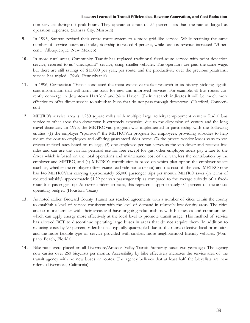tion services during off-peak hours. They operate at a rate of 55 percent less than the rate of large bus operation expenses. (Kansas City, Missouri)

- 9. In 1995, Suntran revised their entire route system to a more grid-like service. While retaining the same number of service hours and miles, ridership increased 4 percent, while farebox revenue increased 7.3 percent. (Albuquerque, New Mexico)
- 10. In more rural areas, Community Transit has replaced traditional fixed-route service with point deviation service, referred to as "checkpoint" service, using smaller vehicles. The operators are paid the same wage, but there are still savings of \$15,000 per year, per route, and the productivity over the previous paratransit service has tripled. (York, Pennsylvania)
- 11. In 1996, Connecticut Transit conducted the most extensive market research in its history, yielding significant information that will form the basis for new and improved services. For example, all bus routes currently converge in downtown Hartford and New Haven. Their research indicates it will be much more effective to offer direct service to suburban hubs that do not pass through downtown. (Hartford, Connecticut)
- 12. METRO's service area is 1,250 square miles with multiple large activity/employment centers. Radial bus service to other areas than downtown is extremely expensive, due to the dispersion of centers and the long travel distances. In 1995, the METROVan program was implemented in partnership with the following entities: (1) the employer "sponsors" the METROVan program for employees, providing subsidies to help reduce the cost to employees and offering guaranteed rides home, (2) the private vendor leases vans to van drivers at fixed rates based on mileage, (3) one employee per van serves as the van driver and receives free rides and can use the van for personal use for free except for gas; other employee riders pay a fare to the driver which is based on the total operations and maintenance cost of the van, less the contribution by the employer and METRO, and (4) METRO's contribution is based on which plan option the employer selects (such as, whether the employer offers guaranteed ride home or not) and the cost of the van. METRO now has 146 METROVans carrying approximately 55,000 passenger trips per month. METRO saves (in terms of reduced subsidy) approximately \$1.29 per van passenger trip as compared to the average subsidy of a fixedroute bus passenger trip. At current ridership rates, this represents approximately 0.4 percent of the annual operating budget. (Houston, Texas)
- 13. As noted earlier, Broward County Transit has reached agreements with a number of cities within the county to establish a level of service consistent with the level of demand in relatively low density areas. The cities are far more familiar with their areas and have ongoing relationships with businesses and communities, which can apply energy more effectively at the local level to promote transit usage. This method of service has allowed BCT to discontinue operating large buses in areas that do not require them. In addition to reducing costs by 90 percent, ridership has typically quadrupled due to the more effective local promotion and the more flexible type of service provided with smaller, more neighborhood friendly vehicles. (Pompano Beach, Florida)
- 14. Bike racks were placed on all Livermore/Amador Valley Transit Authority buses two years ago. The agency now carries over 260 bicyclists per month. Accessibility by bike effectively increases the service area of the transit agency with no new buses or routes. The agency believes that at least half the bicyclists are new riders. (Livermore, California)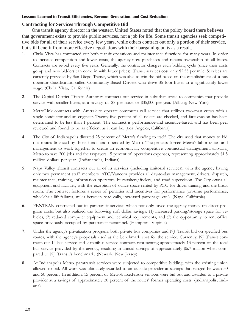### **Contracting for Services Through Competitive Bid**

One transit agency director in the western United States noted that the policy board there believes that government exists to provide public services, not a job for life. Some transit agencies seek competitive bids for all of their service every few years, while others contract out only a portion of their service, but still benefit from more effective negotiations with their bargaining units as a result.

- 1 . Chula Vista has contracted out both transit operations and maintenance functions for many years. In order to increase competition and lower costs, the agency now purchases and retains ownership of all buses. Contracts are re-bid every five years. Generally, the contractor changes each bidding cycle (since their costs go up and new bidders can come in with lower prices). Transit services cost only \$2.55 per mile. Services are currently provided by San Diego Transit, which was able to win the bid based on the establishment of a bus operator classification called Community-Based Drivers who drive 35-foot buses at a significantly lower wage. (Chula Vista, California)
- 2. The Capital District Transit Authority contracts out service in suburban areas to companies that provide service with smaller buses, at a savings of \$8 per hour, or \$35,000 per year. (Albany, New York)
- 3. MetroLink contracts with Amtrak to operate commuter rail service that utilizes two-man crews with a single conductor and an engineer. Twenty-five percent of all tickets are checked, and fare evasion has been determined to be less than 1 percent. The contract is performance-and incentive-based, and has been peer reviewed and found to be as efficient as it can be. (Los Angeles, California)
- 4. The City of Indianapolis diverted 25 percent of Metros funding to itself. The city used that money to bid out routes financed by those funds and operated by Metro. The process forced Metro's labor union and management to work together to create an economically competitive contractual arrangement, allowing Metro to save 200 jobs and the taxpayers 15 percent of operations expenses, representing approximately \$1.5 million dollars per year. (Indianapolis, Indiana)
- 5. Napa Valley Transit contracts out all of its services (including janitorial services), with the agency having only two permanent staff members. ATC/Vancom provides all day-to-day management, drivers, dispatch, maintenance, training, information operators, buswashers/fuelers, and road supervision. The City owns all equipment and facilities, with the exception of office space rented by ATC for driver training and the break room. The contract features a series of penalties and incentives for performance (on-time performance, wheelchair lift failures, miles between road calls, increased patronage, etc.). (Napa, California)
- 6. PENTRAN contracted out its paratransit services which not only saved the agency money on direct program costs, but also realized the following soft dollar savings: (1) increased parking/storage space for vehicles, (2) reduced computer equipment and technical requirements, and (3) the opportunity to rent office space previously occupied by paratransit personnel. (Hampton, Virginia)
- 7. Under the agencys privatization program, both private bus companies and NJ Transit bid on specified bus routes, with the agencys proposals used as the benchmark cost for the service. Currently, NJ Transit contracts out 14 bus service and 9 minibus service contracts representing approximately 13 percent of the total bus service provided by the agency, resulting in annual savings of approximately \$6.7 million when compared to NJ Transit's benchmark. (Newark, New Jersey)
- 8. At Indianapolis Metro, paratransit services were subjected to competitive bidding, with the existing union allowed to bid. All work was ultimately awarded to an outside provider at savings that ranged between 30 and 50 percent. In addition, 15 percent of Metro's fixed-route services were bid out and awarded to a private provider at a savings of approximately 20 percent of the routes' former operating costs. (Indianapolis, Indiana)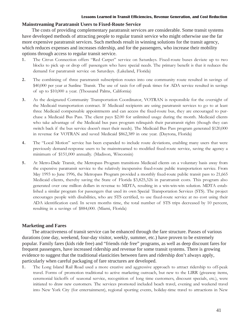### **Mainstreaming Paratransit Users to Fixed-Route Service**

The costs of providing complementary paratransit services are considerable. Some transit systems have developed methods of attracting people to regular transit service who might otherwise use the far more expensive paratransit services. Such methods result in winning solutions for the transit agency, which reduces expenses and increases ridership, and for the passengers, who increase their mobility options through access to regular transit service.

- 1. The Citrus Connection offers "Red Carpet" service on Saturdays. Fixed-route buses deviate up to two blocks to pick up or drop off passengers who have special needs. The primary benefit is that it reduces the demand for paratransit service on Saturdays. (Lakeland, Florida)
- 2. The combining of three paratransit subscription routes into one community route resulted in savings of \$40,000 per year at Sunline Transit. The use of taxis for off-peak times for ADA service resulted in savings of up to \$10,000 a year. (Thousand Palms, California)
- 3. As the designated Community Transportation Coordinator, VOTRAN is responsible for the oversight of the Medicaid transportation contract. If Medicaid recipients are using paratransit services to go to at least three Medicaid compensable appointments and can access the fixed-route bus, they are encouraged to purchase a Medicaid Bus Pass. The client pays \$2.00 for unlimited usage during the month. Medicaid clients who take advantage of the Medicaid bus pass program relinquish their paratransit rights (though they can switch back if the bus service doesn't meet their needs). The Medicaid Bus Pass program generated \$120,000 in revenue for VOTRAN and saved Medicaid \$862,389 in one year. (Daytona, Florida)
- 4. The "Local Motion" service has been expanded to include route deviations, enabling many users that were previously demand-response users to be mainstreamed to modified fixed-route service, saving the agency a minimum of \$151,000 annually. (Madison, Wisconsin)
- 5. At Metro-Dade Transit, the Metropass Program transitions Medicaid clients on a voluntary basis away from the expensive paratransit service to the relatively inexpensive fixed-route public transportation service. From May 1993 to June 1996, the Metropass Program provided a monthly fixed-route public transit pass to 21,665 Medicaid clients, thereby saving the State of Florida \$3,825,326 in paratransit costs. This program also generated over one million dollars in revenue to MDTA, resulting in a win-win-win solution. MDTA established a similar program for passengers that used its own Special Transportation Services (STS). The project encourages people with disabilities, who are STS certified, to use fixed-route service at no cost using their ADA identification card. In seven months time, the total number of STS trips decreased by 10 percent, resulting in a savings of \$884,000. (Miami, Florida)

### **Marketing and Fares**

The attractiveness of transit service can be enhanced through the fare structure. Passes of various durations (one day, weekend, four-day visitor, weekly, summer, etc.) have proven to be extremely popular. Family fares (kids ride free) and "friends ride free" programs, as well as deep discount fares for frequent passengers, have increased ridership and revenue for some transit systems. There is growing evidence to suggest that the traditional elasticities between fares and ridership don't always apply, particularly when careful packaging of fare structures are developed.

1. The Long Island Rail Road used a more creative and aggressive approach to attract ridership to off-peak travel. Forms of promotion traditional to active marketing outreach, but new to the LIRR (giveaway items, ceremonial kickoffs of seasonal service, recognition of long time customers, discount specials, etc.), were initiated to draw new customers. The services promoted included beach travel, evening and weekend travel into New York City (for entertainment), regional sporting events, holiday-time travel to attractions in New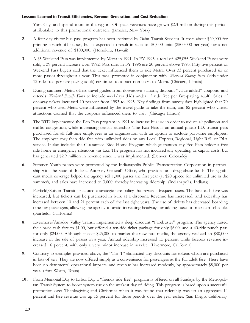York City, and special tours in the region. Off-peak revenues have grown \$2.3 million during this period, attributable to this promotional outreach. (Jamaica, New York)

- 2. A four-day visitor bus pass program has been instituted by Oahu Transit Services. It costs about \$20,000 for printing scratch-off passes, but is expected to result in sales of 50,000 units (\$500,000 per year) for a net additional revenue of \$100,000. (Honolulu, Hawaii)
- 3. A \$5 Weekend Pass was implemented by Metra in 1991. In FY 1995, a total of 625,055 Weekend Passes were sold, a 39 percent increase over 1992. Pass sales in FY 1996 are 20 percent above 1995. Fifty-five percent of Weekend Pass buyers said that the ticket influenced them to ride Metra. Over 33 percent purchased six or more passes throughout a year. This pass, promoted in conjunction with Weekend Family Fares (kids under 12 ride free per fare-paying adult) continues to attract non-users to Metra. (Chicago, Illinois)
- 4. During summer, Metra offers travel guides from downtown stations, discount "value added" coupons, and extends Weekend Family Fares to include weekdays (kids under 12 ride free per fare-paying adult). Sales of one-way tickets increased 10 percent from 1993 to 1995. Key findings from survey data highlighted that 70 percent who used Metra were influenced by the travel guide to take the train, and 82 percent who visited attractions claimed that the coupons influenced them to visit. (Chicago, Illinois)
- 5. The RTD implemented the Eco Pass program in 1991 to increase bus use in order to reduce air pollution and traffic congestion, while increasing transit ridership. The Eco Pass is an annual photo I.D. transit pass purchased for all full-time employees in an organization with an option to exclude part-time employees. The employee may then ride free with unlimited rides on any Local, Express, Regional, Light Rail, or DIA service. It also includes the Guaranteed Ride Home Program which guarantees any Eco Pass holder a free ride home in emergency situations via taxi. The program has not incurred any operating or capital costs, but has generated \$2.9 million in revenue since it was implemented. (Denver, Colorado)
- 6. Summer Youth passes were promoted by the Indianapolis Public Transportation Corporation in partnership with the State of Indiana Attorney General's Office, who provided anti-drug abuse funds. The significant media coverage helped the agency sell 1,000 passes the first year (at \$20 apiece for unlimited use in the summer), and sales have increased to 3,000, thereby increasing ridership. (Indianapolis, Indiana)
- 7. Fairfield/Suisun Transit structured a strategic fare policy that rewards frequent users. The base cash fare was increased, but tickets can be purchased in bulk at a discount. Revenue has increased, and ridership has increased between 10 and 21 percent each of the last eight years. The use of tickets has decreased boarding time for passengers, allowing the agency to avoid increasing headways or adding buses to maintain schedule. (Fairfield, California)
- 8. Livermore/Amador Valley Transit implemented a deep discount "Farebuster" program. The agency raised their basic cash fare to \$1.00, but offered a ten-ride ticket package for only \$6.00, and a 40-ride punch pass for only \$24.00. Although it cost \$25,000 to market the new fare media, the agency realized an \$80,000 increase in the sale of passes in a year. Annual ridership increased 15 percent while farebox revenue increased 16 percent, with only a very minor increase in service. (Livermore, California)
- 9. Contrary to examples provided above, the "The T" eliminated any discounts for tokens which are purchased in lots of ten. They are now offered simply as a convenience for passengers at the full adult fare. There have been no detrimental operational impacts, and revenue has increased modestly, by approximately \$8,000 per year. (Fort Worth, Texas)
- 10. From Memorial Day to Labor Day a "friends ride free" program is offered on all Sundays by the Metropolitan Transit System to boost system use on the weakest day of riding. This program is based upon a successful promotion over Thanksgiving and Christmas when it was found that ridership was up an aggregate 14 percent and fare revenue was up 15 percent for those periods over the year earlier. (San Diego, California)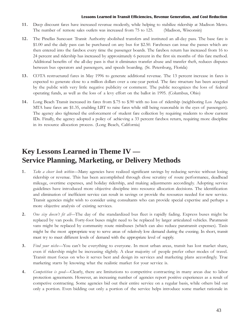- 11. Deep discount fares have increased revenue modestly, while helping to stabilize ridership at Madison Metro. The number of remote sales outlets was increased from 75 to 125. (Madison, Wisconsin)
- 12. The Pinellas Suncoast Transit Authority abolished transfers and instituted an all-day pass. The base fare is \$1.00 and the daily pass can be purchased on any bus for \$2.50. Fareboxes can issue the passes which are then entered into the farebox every time the passenger boards. The farebox return has increased from 16 to 24 percent and ridership has increased by approximately 6 percent in the first six months of this fare method. Additional benefits of the all-day pass is that it eliminates transfer abuse and transfer theft, reduces disputes between bus operators and passengers, and speeds boarding. (St. Petersburg, Florida)
- 13. COTA restructured fares in May 1996 to generate additional revenue. The 13 percent increase in fares is expected to generate close to a million dollars over a one-year period. The fare structure has been accepted by the public with very little negative publicity or comment. The public recognizes the loss of federal operating funds, as well as the loss of a levy effort on the ballot in 1995. (Columbus, Ohio)
- 14. Long Beach Transit increased its fares from \$.75 to \$.90 with no loss of ridership (neighboring Los Angeles MTA base fares are \$1.35, enabling LBT to raise fares while still being reasonable in the eyes of passengers). The agency also tightened the enforcement of student fare collection by requiring students to show current IDs. Finally, the agency adopted a policy of achieving a 33 percent farebox return, requiring more discipline in its resource allocation process. (Long Beach, California)

### **Key Lessons Learned in Theme IV — Service Planning, Marketing, or Delivery Methods**

- 1. Take a closer look within—Many agencies have realized significant savings by reducing service without losing ridership or revenue. This has been accomplished through close scrutiny of route performance, deadhead mileage, overtime expenses, and holiday ridership, and making adjustments accordingly. Adopting service guidelines have introduced more objective discipline into resource allocation decisions. The identification and elimination of inefficient service can result in savings or provide the resources needed for new service. Transit agencies might wish to consider using consultants who can provide special expertise and perhaps a more objective analysis of existing services.
- 2. One size doesn't fit all—The day of the standardized bus fleet is rapidly fading. Express buses might be replaced by van pools. Forty-foot buses might need to be replaced by larger articulated vehicles. Paratransit vans might be replaced by community route minibuses (which can also reduce paratransit expenses). Taxis might be the most appropriate way to serve areas of relatively low demand during the evening. In short, transit must try to meet different levels of demand with the appropriate level of supply.
- 3. Find your niche—You can't be everything to everyone. In most urban areas, transit has lost market share, even if ridership might be increasing slightly. A clear majority of people prefer other modes of travel. Transit must focus on who it serves best and design its services and marketing plans accordingly. True marketing starts by knowing what the realistic market for your service is.
- 4. Competition is good-Clearly, there are limitations to competitive contracting in many areas due to labor protection agreements. However, an increasing number of agencies report positive experiences as a result of competive contracting. Some agencies bid out their entire service on a regular basis, while others bid out only a portion. Even bidding out only a portion of the service helps introduce some market rationale in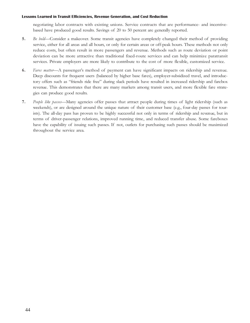negotiating labor contracts with existing unions. Service contracts that are performance- and incentivebased have produced good results. Savings of 20 to 50 percent are generally reported.

- 5. Be bold—Consider a makeover. Some transit agencies have completely changed their method of providing service, either for all areas and all hours, or only for certain areas or off-peak hours. These methods not only reduce costs, but often result in more passengers and revenue. Methods such as route deviation or point deviation can be more attractive than traditional fixed-route services and can help minimize paratransit services. Private employers are more likely to contribute to the cost of more flexible, customized service.
- 6. Fares matter-A passenger's method of payment can have significant impacts on ridership and revenue. Deep discounts for frequent users (balanced by higher base fares), employer-subsidized travel, and introductory offers such as "friends ride free" during slack periods have resulted in increased ridership and farebox revenue. This demonstrates that there are many markets among transit users, and more flexible fare strategies can produce good results.
- 7. People like passes—Many agencies offer passes that attract people during times of light ridership (such as weekends), or are designed around the unique nature of their customer base (e.g., four-day passes for tourists). The all-day pass has proven to be highly successful not only in terms of ridership and revenue, but in terms of driver-passenger relations, improved running time, and reduced transfer abuse. Some fareboxes have the capability of issuing such passes. If not, outlets for purchasing such passes should be maximized throughout the service area.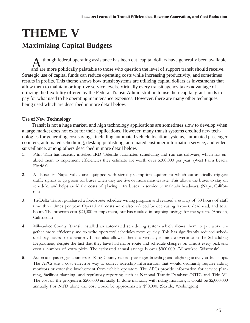# **THEME V Maximizing Capital Budgets**

Although federal operating assistance has been cut, capital dollars have generally been available and are more politically palatable to those who question the level of support transit should receive. Strategic use of capital funds can reduce operating costs while increasing productivity, and sometimes results in profits. This theme shows how transit systems are utilizing capital dollars as investments that allow them to maintain or improve service levels. Virtually every transit agency takes advantage of utilizing the flexibility offered by the Federal Transit Administration to use their capital grant funds to pay for what used to be operating maintenance expenses. However, there are many other techniques being used which are described in more detail below.

### **Use of New Technology**

Transit is not a huge market, and high technology applications are sometimes slow to develop when a large market does not exist for their applications. However, many transit systems credited new technologies for generating cost savings, including automated vehicle location systems, automated passenger counters, automated scheduling, desktop publishing, automated customer information service, and video surveillance, among others described in more detail below.

- 1. Palm Tran has recently installed IRD Teleride automated scheduling and run cut software, which has enabled them to implement efficiencies they estimate are worth over \$200,000 per year. (West Palm Beach, Florida)
- 2. All buses in Napa Valley are equipped with signal preemption equipment which automatically triggers traffic signals to go green for buses when they are five or more minutes late. This allows the buses to stay on schedule, and helps avoid the costs of placing extra buses in service to maintain headways. (Napa, California)
- 3. Tri-Delta Transit purchased a fixed-route schedule writing program and realized a savings of 30 hours of staff time three times per year. Operational costs were also reduced by decreasing layover, deadhead, and total hours. The program cost \$20,000 to implement, but has resulted in ongoing savings for the system. (Antioch, California)
- 4.44. Milwaukee County Transit installed an automated scheduling system which allows them to put work together more efficiently and to write operators' schedules more quickly. This has significantly reduced scheduled pay hours for operators. It has also allowed them to virtually eliminate overtime in the Scheduling Department, despite the fact that they have had major route and schedule changes on almost every pick and even a number of extra picks. The estimated annual savings is over \$900,000. (Milwaukee, Wisconsin)
- 5. Automatic passenger counters in King County record passenger boarding and alighting activity at bus stops. The APCs are a cost effective way to collect ridership information that would ordinarily require riding monitors or extensive involvement from vehicle operators. The APCs provide information for service planning, facilities planning, and regulatory reporting such as National Transit Database (NTD) and Title VI. The cost of the program is \$200,000 annually. If done manually with riding monitors, it would be \$2,000,000 annually. For NTD alone the cost would be approximately \$90,000. (Seattle, Washington)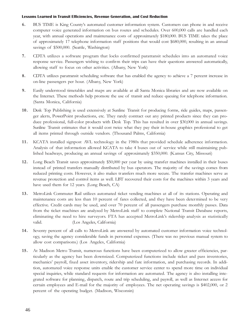- 6. BUS TIME is King Countys automated customer information system. Customers can phone in and receive computer voice generated information on bus routes and schedules. Over 600,000 calls are handled each year, with annual operations and maintenance costs of approximately \$180,000. BUS TIME takes the place of approximately 17 telephone information staff positions that would cost \$680,000, resulting in an annual savings of \$500,000. (Seattle, Washington)
- 7. CDTA utilizes a software program that locks confirmed paratransit schedules into an automated voice response service. Passengers wishing to confirm their trips can have their questions answered automatically, allowing staff to focus on other activities. (Albany, New York)
- 8. CDTA utilizes paratransit scheduling software that has enabled the agency to achieve a 7 percent increase in on-line passengers per hour. (Albany, New York)
- 9. Easily understood timetables and maps are available at all Santa Monica libraries and are now available on the Internet. These methods help promote the use of transit and reduce queuing for telephone information. (Santa Monica, California)
- 10. Desk Top Publishing is used extensively at Sunline Transit for producing forms, ride guides, maps, passenger alerts, PowerPoint productions, etc. They rarely contract out any printed products since they can produce professional, full-color products with Desk Top. This has resulted in over \$30,000 in annual savings. Sunline Transit estimates that it would cost twice what they pay their in-house graphics professional to get all items printed through outside vendors. (Thousand Palms, California)
- 11. KCATA installed signpost AVL technology in the 1980s that provided schedule adherence information. Analysis of that information allowed KCATA to take 4 buses out of service while still maintaining published headways, producing an annual savings of approximately \$350,000. (Kansas City, Missouri)
- 12. Long Beach Transit saves approximately \$50,000 per year by using transfer machines installed in their buses instead of printed transfers manually distributed by bus operators. The majority of the savings comes from reduced printing costs. However, it also makes tr ansfers much more secure. The transfer machines serve as revenue protection and control items as well. LBT recovered their costs for the machines within 3 years and have used them for 12 years. (Long Beach, CA)
- 13. MetroLink Commuter Rail utilizes automated ticket vending machines at all of its stations. Operating and maintenance costs are less than 10 percent of fares collected, and they have been determined to be very effective. Credit cards may be used, and over 70 percent of all passengers purchase monthly passes. Data from the ticket machines are analyzed by MetroLink staff to complete National Transit Database reports, eliminating the need to hire surveyors. FTA has accepted MetroLink's ridership analysis as statistically valid. (Los Angeles, California)
- 14. Seventy percent of all calls to MetroLink are answered by automated customer information voice technology, saving the agency considerable funds in personnel expenses. (There was no previous manual system to allow cost comparisons.) (Los Angeles, California)
- 15. At Madison Metro Transit, numerous functions have been computerized to allow greater efficiencies, particularly as the agency has been downsized. Computerized functions include ticket and pass inventories, mechanics' payroll, fixed asset inventory, ridership and fare information, and purchasing records. In addition, automated voice response units enable the customer service center to spend more time on individual special inquiries, while standard requests for information are automated. The agency is also installing integrated software for planning, dispatch, route and trip scheduling, and payroll, as well as Internet access for certain employees and E-mail for the majority of employees. The net operating savings is \$402,000, or 2 percent of the operating budget. (Madison, Wisconsin)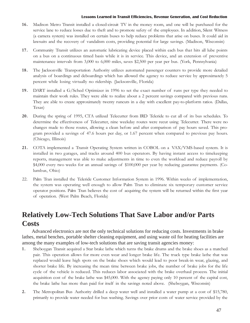- 16. Madison Metro Transit installed a closed-circuit TV in the money room, and one will be purchased for the service lane to reduce losses due to theft and to promote safety of the employees. In addition, Silent Witness (a camera system) was installed on certain buses to help reduce problems that arise on buses. It could aid in lawsuits and the recovery of vandalism costs, providing potential for large savings. (Madison, Wisconsin)
- 17. Community Transit utilizes an automatic lubricating device placed within each bus that hits all lube points on a bus on a continuous timed basis while it is in service. This device, and an extension of preventive maintenance intervals from 3,000 to 6,000 miles, saves \$2,500 per year per bus. (York, Pennsylvania)
- 18. The Jacksonville Transportation Authority utilizes automated passenger counters to provide more detailed analysis of boardings and deboardings which has allowed the agency to reduce service by approximately 5 percent while losing vir tually no ridership. (Jacksonville, Florida)
- 19. DART installed a G/Sched Optimizer in 1996 to set the exact number of runs per type they needed to maintain their work rules. They were able to realize about a 2 percent savings compared with previous runs. They are able to create approximately twenty runcuts in a day with excellent pay-to-platform ratios. (Dallas, Texas)
- 20. During the spring of 1995, CTA utilized Telecutter from IRD Teleride to cut all of its bus schedules. To determine the effectiveness of Telecutter, nine weekday routes were recut using Telecutter. There were no changes made to those routes, allowing a clean before and after comparison of pay hours saved. This program provided a savings of 47.6 hours per day, or 1.67 percent when compared to previous pay hours. (Chicago, Illinois)
- 21. COTA implemented a Transit Operating System written in COBOL on a VAX/VMS-based system. It is installed in two garages, and tracks around 400 bus operators. By having instant access to timekeeping reports, management was able to make adjustments in time to even the workload and reduce payroll by \$4,000 every two weeks for an annual savings of \$100,000 per year by reducing guarantee payments. (Columbus, Ohio)
- 22. Palm Tran installed the Teleride Customer Information System in 1996. Within weeks of implementation, the system was operating well enough to allow Palm Tran to eliminate six temporary customer service operator positions. Palm Tran believes the cost of acquiring the system will be returned within the first year of operation. (West Palm Beach, Florida)

### **Relatively Low-Tech Solutions That Save Labor and/or Parts Costs**

Advanced electronics are not the only technical solutions for reducing costs. Investments in brake lathes, metal benches, portable shelter cleaning equipment, and using waste oil for heating facilities are among the many examples of low-tech solutions that are saving transit agencies money:

- 1 . Sheboygan Transit acquired a Star brake lathe which turns the brake drums and the brake shoes as a matched pair. This operation allows for more even wear and longer brake life. The truck type brake lathe that was replaced would leave high spots on the brake shoes which would lead to poor break-in wear, glazing, and shorter brake life. By increasing the mean time between brake jobs, the number of brake jobs for the life cycle of the vehicle is reduced. This reduces labor associated with the brake overhaul process. The initial acquisition cost of the brake lathe was \$45,000. With the agency paying only 10 percent of the capital cost, the brake lathe has more than paid for itself in the savings noted above. (Sheboygan, Wisconsin)
- 2. The Metropolitan Bus Authority drilled a deep water well and installed a water pump at a cost of \$15,780, primarily to provide water needed for bus washing. Savings over prior costs of water service provided by the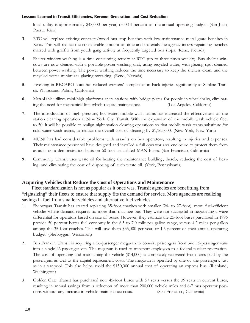local utility is approximately \$48,000 per year, or 0.14 percent of the annual operating budget. (San Juan, Puerto Rico)

- 3. RTC will replace existing concrete/wood bus stop benches with low-maintenance metal grate benches in Reno. This will reduce the considerable amount of time and materials the agency incurs repainting benches marred with graffiti from youth gang activity at frequently targeted bus stops. (Reno, Nevada)
- 4. Shelter window washing is a time consuming activity at RTC (up to three times weekly). Bus shelter windows are now cleaned with a portable power washing unit, using recycled water, with glazing spot-cleaned between power washing. The power washing reduces the time necessary to keep the shelters clean, and the recycled water minimizes glazing streaking. (Reno, Nevada)
- 5. Investing in RECARO seats has reduced workers' compensation back injuries significantly at Sunline Transit. (Thousand Palms, California)
- 6. MetroLink utilizes mini-high platforms at its stations with bridge plates for people in wheelchairs, eliminating the need for mechanical lifts which require maintenance. (Los Angeles, California)
- 7. The introduction of high pressure, hot water, mobile wash teams has increased the effectiveness of the station cleaning operation at New York City Transit. With the expansion of the mobile wash vehicle fleet to 50, it will be possible to realign night station cleaning operations so that mobile wash teams substitute for cold water wash teams, to reduce the overall cost of cleaning by \$1,163,000. (New York, New York)
- 8. MUNI has had considerable problems with assaults on bus operators, resulting in injuries and expenses. Their maintenance personnel have designed and installed a full operator area enclosure to protect them from assaults on a demonstration basis on 60-foot articulated MAN buses. (San Francisco, California)
- 9. Community Transit uses waste oil for heating the maintenance building, thereby reducing the cost of heating, and eliminating the cost of disposing of such waste oil. (York, Pennsylvania)

### **Acquiring Vehicles that Reduce the Cost of Operations and Maintenance**

Fleet standardization is not as popular as it once was. Transit agencies are benefitting from "rightsizing" their fleets to ensure that supply fits the demand for service. More agencies are realizing savings in fuel from smaller vehicles and alternative fuel vehicles.

- 1 . Sheboygan Transit has started replacing 35-foot coaches with smaller (24- to 27-foot), more fuel-efficient vehicles where demand requires no more than that size bus. They were not successful in negotiating a wage differential for operators based on size of buses. However, they estimate the 25-foot buses purchased in 1996 provide 50 percent better fuel economy in the 6.5 to 7.0 mile per gallon range, versus 4.2 miles per gallon among the 35-foot coaches. This will save them \$35,000 per year, or 1.5 percent of their annual operating budget. (Sheboygan, Wisconsin)
- 2. Ben Franklin Transit is acquiring a 26-passenger megavan to convert passengers from two 15-passenger vans into a single 26-passenger van. The megavan is used to transport employees to a federal nuclear reservation. The cost of operating and maintaining the vehicle (\$14,000) is completely recovered from fares paid by the passengers, as well as the capital replacement costs. The megavan is operated by one of the passengers, just as in a vanpool. This also helps avoid the \$150,000 annual cost of operating an express bus. (Richland, Washington)
- 3. Golden Gate Transit has purchased new 45-foot buses with 57 seats versus the 39 seats in current buses, resulting in annual savings from a reduction of more than 200,000 vehicle miles and 6-7 bus operator positions without any increase in vehicle maintenance costs. (San Francisco, California)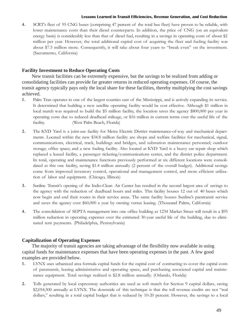4. SCRTs fleet of 95 CNG buses (comprising 47 percent of the total bus fleet) have proven to be reliable, with lower maintenance costs than their diesel counterparts. In addition, the price of CNG (on an equivalent energy basis) is considerably less than that of diesel fuel, resulting in a savings in operating costs of about \$2 million per year. However, the total additional capital cost of acquiring the fleet and fueling facility was about \$7.5 million more. Consequently, it will take about four years to "break even" on the investment. (Sacramento, California)

### **Facility Investment to Reduce Operating Costs**

New transit facilities can be extremely expensive, but the savings to be realized from adding or consolidating facilities can provide far greater returns in reduced operating expenses. Of course, the transit agency typically pays only the local share for these facilities, thereby multiplying the cost savings achieved.

- 1 . Palm Tran operates in one of the largest counties east of the Mississippi, and is actively expanding its service. It determined that building a new satellite operating facility would be cost effective. Although \$1 million in local match was required to build the \$5 million facility, the location saves the agency \$800,000 per year in operating costs due to reduced deadhead mileage, or \$16 million in current terms over the useful life of the facility. (West Palm Beach, Florida)
- 2. The KYD Yard is a joint-use facility for Metra Electric District maintenance-of-way and mechanical departments. Located within the new \$34.8 million facility are shops and welfare facilities for mechanical, signal, communications, electrical, track, buildings and bridges, and substation maintenance personnel; outdoor storage; office space; and a new fueling facility. Also located at KYD Yard is a heavy car repair shop which replaced a leased facility, a passenger ticketing/communications center, and the district police department. In total, operating and maintenance functions previously performed at six different locations were consolidated at this one facility, saving \$1.4 million annually (2 percent of the overall budget). Additional savings come from improved inventory control, operational and management control, and more efficient utilization of labor and equipment. (Chicago, Illinois)
- 3. Sunline Transit's opening of the Indio-Clean Air Center has resulted in the second largest area of savings to the agency with the reduction of deadhead hours and miles. This facility houses 12 out of 40 buses which now begin and end their routes in their service areas. The same facility houses Sunline's paratransit service and saves the agency over \$60,000 a year by owning versus leasing. (Thousand Palms, California)
- 4. The consolidation of SEPTA management into one office building at 1234 Market Street will result in a \$95 million reduction in operating expenses over the estimated 30-year useful life of the building, due to eliminated rent payments. (Philadelphia, Pennsylvania)

### **Capitalization of Operating Expenses**

The majority of transit agencies are taking advantage of the flexibility now available in using capital funds for maintenance expenses that have been operating expenses in the past. A few good examples are provided below.

- 1 . LYNX uses urbanized area formula capital funds for the capital cost of contracting to cover the capital costs of paratransit, leasing administrative and operating space, and purchasing associated capital and maintenance equipment. Total savings realized is \$2.8 million annually. (Orlando, Florida)
- 2. Tolls generated by local expressway authorities are used as soft match for Section 9 capital dollars, saving \$2,054,500 annually at LYNX. The downside of this technique is that the toll revenue credits are not "real dollars," resulting in a total capital budget that is reduced by 10-20 percent. However, the savings to a local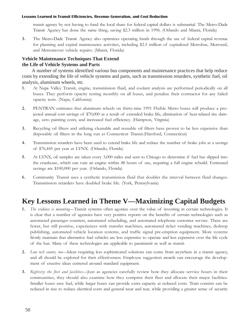transit agency by not having to fund the local share for federal capital dollars is substantial. The Metro-Dade Transit Agency has done the same thing, saving \$2.3 million in 1996. (Orlando and Miami, Florida)

3. The Metro-Dade Transit Agency also optimizes operating funds through the use of federal capital revenue for planning and capital maintenance activities, including \$2.5 million of capitalized Metrobus, Metrorail, and Metromover vehicle repairs. (Miami, Florida)

### **Vehicle Maintenance Techniques That Extend the Life of Vehicle Systems and Parts**

A number of systems identified various bus components and maintenance practices that help reduce costs by extending the life of vehicle systems and parts, such as transmission retarders, synthetic fuel, oil analysis, aluminum wheels, etc.

- 1 . At Napa Valley Transit, engine, transmission fluid, and coolant analysis are performed periodically on all buses. They perform opacity testing monthly on all buses, and penalize their contractor for any failed opacity tests. (Napa, California)
- 2. PENTRAN estimates that aluminum wheels on thirty-nine 1991 Flxible Metro buses will produce a projected annual cost savings of \$70,000 as a result of extended brake life, elimination of heat-related tire damage, zero painting costs, and increased fuel efficiency. (Hampton, Virginia)
- 3. Recycling oil filters and utilizing cleanable and reusable oil filters have proven to be less expensive than disposable oil filters in the long run at Connecticut Transit.(Hartford, Connecticut)
- 4. Transmission retarders have been used to extend brake life and reduce the number of brake jobs at a savings of \$76,445 per year at LYNX. (Orlando, Florida)
- 5. At LYNX, oil samples are taken every 3,000 miles and sent to Chicago to determine if fuel has slipped into the crankcase, which can ruin an engine within 48 hours of use, requiring a full engine rebuild. Estimated savings are \$100,000 per year. (Orlando, Florida)
- 6. Community Transit uses a synthetic transmission fluid that doubles the interval between fluid changes. Transmission retarders have doubled brake life. (York, Pennsylvania)

### **Key Lessons Learned in Theme V—Maximizing Capital Budgets**

- 1. The evidence is mounting—Transit systems often agonize over the value of investing in certain technologies. It is clear that a number of agencies have very positive reports on the benefits of certain technologies such as automated passenger counters, automated scheduling, and automated telephone customer service. There are fewer, but still positive, experiences with transfer machines, automated ticket vending machines, desktop publishing, automated vehicle location systems, and traffic signal pre-emption equipment. More systems firmly maintain that alternative fuel vehicles are less expensive to operate and less expensive over the life cycle of the bus. Many of these technologies are applicable to paratransit as well as transit.
- 2. Low tech counts, too—Ideas requiring less sophisticated solutions can come from anywhere in a transit agency, and all should be explored for their effectiveness. Employee suggestion awards can encourage the development of creative ideas centered around standard equipment.
- 3. Rightsize the fleet and facilities-Just as agencies carefully review how they allocate service hours in their communities, they should also examine how they comprise their fleet and allocate their major facilities. Smaller buses save fuel, while larger buses can provide extra capacity at reduced costs. Train consists can be reduced in size to reduce electrical costs and general wear and tear, while providing a greater sense of security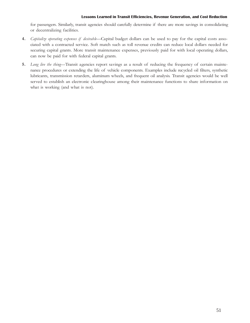for passengers. Similarly, transit agencies should carefully determine if there are more savings in consolidating or decentralizing facilities.

- 4. Capitalize operating expenses if desirable-Capital budget dollars can be used to pay for the capital costs associated with a contracted service. Soft match such as toll revenue credits can reduce local dollars needed for securing capital grants. More transit maintenance expenses, previously paid for with local operating dollars, can now be paid for with federal capital grants.
- 5. Long live the thing-Transit agencies report savings as a result of reducing the frequency of certain maintenance procedures or extending the life of vehicle components. Examples include recycled oil filters, synthetic lubricants, transmission retarders, aluminum wheels, and frequent oil analysis. Transit agencies would be well served to establish an electronic clearinghouse among their maintenance functions to share information on what is working (and what is not).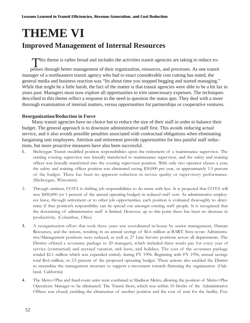# **THEME VI Improved Management of Internal Resources**

This theme is rather broad and includes the activities transit agencies are taking to reduce ex-

penses through better management of their organization, resources, and processes. As one transit manager of a northeastern transit agency who had to enact considerable cost cutting has noted, the general media and business reaction was "Its about time you stopped begging and started managing." While that might be a little harsh, the fact of the matter is that transit agencies were able to be a bit lax in years past. Managers must now explore all opportunities to trim unnecessary expenses. The techniques described in this theme reflect a response to the need to question the status quo. They deal with a more thorough examination of internal matters, versus opportunities for partnerships or cooperative ventures.

### **Reorganization/Reduction in Force**

Many transit agencies have no choice but to reduce the size of their staff in order to balance their budget. The general approach is to downsize administrative staff first. This avoids reducing actual service, and it also avoids possible penalties associated with contractual obligations when eliminating bargaining unit employees. Attrition and retirement provide opportunities for less painful staff reductions, but more proactive measures have also been successful.

- 1 . Sheboygan Transit modified position responsibilities upon the retirement of a maintenance supervisor. The existing evening supervisor was laterally transferred to maintenance supervisor, and the safety and training officer was laterally transferred into the evening supervisor position. With only two operator classes a year, the safety and training officer position was eliminated saving \$30,000 per year, or approximately 1.5 percent of the budget. There has been no apparent reduction in service quality or supervisory performance. (Sheboygan, Wisconsin)
- 2. Through attrition, COTA is shifting job responsibilities to do more with less. It is projected that COTA will save \$450,000 (or 1 percent of the annual operating budget) in reduced staff cost. As administrative employees leave, through retirement or to other job opportunities, each position is evaluated thoroughly to determine if that position's responsibility can be spread out amongst existing staff people. It is recognized that the downsizing of administrative staff is limited. However, up to this point there has been no decrease in productivity. (Columbus, Ohio)
- 3. A reorganization effort that took three years was coordinated in-house by senior management, Human Resources, and the unions, resulting in an annual savings of \$6.6 million at BART. Sixty-seven Administrative/Management positions were reduced, as well as 27 Line Service positions across all departments. The District offered a severance package to 20 managers, which included three weeks pay for every year of service (contractual) and accrued vacation, sick leave, and holidays. The cost of the severance package totaled \$2.1 million which was expended entirely during FY 1996. Beginning with FY 1996, annual savings total \$6.6 million, or 2.5 percent of the proposed operating budget. These actions also enabled the District to streamline the management structure to support a movement towards flattening the organization. (Oakland, California)
- 4. The Metro+Plus and fixed-route units were combined at Madison Metro, allowing the position of Metro+Plus Operations Manager to be eliminated. The Transit Store, which was within 10 blocks of the Administrative Offices was closed, enabling the elimination of another position and the cost of rent for the facility. Five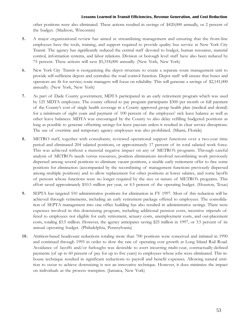other positions were also eliminated. These actions resulted in savings of \$420,000 annually, or 2 percent of the budget. (Madison, Wisconsin)

- 5. A major organizational review has aimed at streamlining management and ensuring that the front-line employees have the tools, training, and support required to provide quality bus service at New York City Transit. The agency has significantly reduced the central staff devoted to budget, human resources, material control, information systems, and labor relations. Division or borough level staff have also been reduced by 75 percent. These actions will save \$5,318,000 annually. (New York, New York)
- 6. New York City Transit is reorganizing the depot structure to create a separate route management unit to provide self-sufficient depots and centralize the road control function. Depot staff will ensure that buses and operators are fit for service; route managers will focus on reliability. This will generate a savings of \$2,141,000 annually. (New York, New York)
- 7. As part of Dade County government, MDTA participated in an early retirement program which was used by 125 MDTA employees. The county offered to pay program participants \$300 per month or full payment of the County's cost of single health coverage in a County approved group health plan (medical and dental) for a minimum of eight years and payment of 100 percent of the employees' sick leave balance as well as other leave balances. MDTA was encouraged by the County to also delay refilling budgeted positions as long as possible to generate offsetting savings for leave payouts unless it resulted in clear service disruptions. The use of overtime and temporary agency employees was also prohibited. (Miami, Florida)
- 8. METRO staff, together with consultants, reviewed operational support functions over a two-year time period and eliminated 204 salaried positions, or approximately 17 percent of its total salaried work force. This was achieved without a material negative impact on any of METRO's programs. Through careful analysis of METROs needs versus resources, position eliminations involved recombining work previously dispersed among several positions to eliminate vacant positions, a sizable early retirement offer to free some positions for elimination (accompanied by the recombining of management functions previously dispersed among multiple positions) and to allow replacement for other positions at lower salaries, and some layoffs of persons whose functions were no longer required by the size or nature of METRO's programs. This effort saved approximately \$10.5 million per year, or 4.5 percent of the operating budget. (Houston, Texas)
- 9. SEPTA has targeted 510 administrative positions for elimination in FY 1997. Most of this reduction will be achieved through retirements, including an early retirement package offered to employees. The consolidation of SEPTA management into one office building has also resulted in administrative savings. There were expenses involved in this downsizing program, including additional pension costs, incentive stipends offered to employees not eligible for early retirement, actuary costs, unemployment costs, and out-placement costs, totaling \$3.5 million. However, the agency anticipates saving \$25 million in 1997, or 3.5 percent of its annual operating budget. (Philadelphia, Pennsylvania)
- 10. Attrition-based headcount reductions totaling more than 700 positions were conceived and initiated in 1990 and continued through 1995 in order to slow the rate of operating cost growth at Long Island Rail Road. Avoidance of layoffs and/or furloughs was desirable to avert incurring multi-year, contractually-defined payments (of up to 60 percent of pay for up to five years) to employees whose jobs were eliminated. This inhouse technique resulted in significant reductions to payroll and benefit expenses. Allowing natural attrition to occur to achieve downsizing is not an innovative technique. However, it does minimize the impact on individuals as the process transpires. (Jamaica, New York)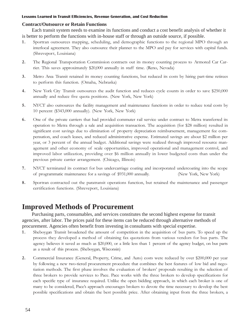### **Contract/Outsource or Retain Functions**

Each transit system needs to examine its functions and conduct a cost benefit analysis of whether it is better to perform the functions with in-house staff or through an outside source, if possible.

- 1 . Sportran outsources mapping, scheduling, and demographic functions to the regional MPO through an interlocal agreement. They also outsource their planner to the MPO and pay for services with capital funds. (Shrevepor t, Louisiana)
- 2. The Regional Transportation Commission contracts out its money counting process to Armored Car Carrier. This saves approximately \$20,000 annually in staff time. (Reno, Nevada)
- 3. Metro Area Transit retained its money counting functions, but reduced its costs by hiring part-time retirees to perform this function. (Omaha, Nebraska)
- 4. New York City Transit outsources the audit function and reduces cycle counts in order to save \$250,000 annually and reduce five quota positions. (New York, New York)
- 5. NYCT also outsources the facility management and maintenance functions in order to reduce total costs by 10 percent (\$343,000 annually). (New York, New York)
- 6. One of the private carriers that had provided commuter rail service under contract to Metra transferred its operation to Metra through a sale and acquisition transaction. The acquisition (for \$28 million) resulted in significant cost savings due to elimination of property depreciation reimbursement, management fee compensation, and coach leases, and reduced administrative expense. Estimated savings are about \$2 million per year, or 3 percent of the annual budget. Additional savings were realized through improved resource management and other economy of scale opportunities, improved operational and management control, and improved labor utilization, providing over \$6 million annually in lower budgeted costs than under the previous private carrier arrangement. (Chicago, Illinois)
- 7. NYCT terminated its contract for bus undercarriage coating and incorporated undercoating into the scope of programmatic maintenance for a savings of \$931,000 annually. (New York, New York)
- 8. Sportran contracted out the paratransit operations function, but retained the maintenance and passenger certification functions. (Shreveport, Louisiana)

### **Improved Methods of Procurement**

Purchasing parts, consumables, and services constitutes the second highest expense for transit agencies, after labor. The prices paid for these items can be reduced through alternative methods of procurement. Agencies often benefit from investing in consultants with special expertise.

- 1 . Sheboygan Transit broadened the amount of competition in the acquisition of bus parts. To speed up the process they developed a method of obtaining fax quotations from various vendors for bus parts. The agency believes it saved as much as \$20,000, or a little less than 1 percent of the agency budget, on bus parts as a result of this process. (Sheboygan, Wisconsin)
- 2. Commercial Insurance (General, Property, Crime, and Auto) costs were reduced by over \$200,000 per year by following a new two-tiered procurement procedure that combines the best features of low bid and negotiation methods. The first phase involves the evaluation of brokers' proposals resulting in the selection of three brokers to provide services to Pace. Pace works with the three brokers to develop specifications for each specific type of insurance required. Unlike the open bidding approach, in which each broker is one of many to be considered, Pace's approach encourages brokers to devote the time necessary to develop the best possible specifications and obtain the best possible price. After obtaining input from the three brokers, a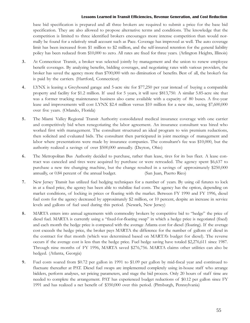base bid specification is prepared and all three brokers are required to submit a price for the base bid specification. They are also allowed to propose alternative terms and conditions. The knowledge that the competition is limited to three identified brokers encourages more intense competition than would normally be found for a relatively small account such as Pace. Coverage has improved as well. The auto coverage limit has been increased from \$1 million to \$2 million, and the self-insured retention for the general liability policy has been reduced from \$10,000 to zero. All rates are fixed for three years. (Arlington Heights, Illinois)

- 3. At Connecticut Transit, a broker was selected jointly by management and the union to renew employee benefit coverages. By analyzing benefits, bidding coverages, and negotiating rates with various providers, the broker has saved the agency more than \$700,000 with no diminution of benefits. Best of all, the broker's fee is paid by the carriers. (Hartford, Connecticut)
- 4. LYNX is leasing a Greyhound garage and 5-acre site for \$77,250 per year instead of buying a comparable property and facility for \$1.2 million. If used for 5 years, it will save \$813,750. A similar 5.85-acre site that was a former trucking maintenance business also came available with a capacity of 80 buses. A five-year lease and improvements will cost LYNX \$2.4 million versus \$10 million for a new site, saving \$7,600,000 over five years. (Orlando, Florida)
- 5. The Miami Valley Regional Transit Authority consolidated medical insurance coverage with one carrier and competitively bid when renegotiating the labor agreement. An insurance consultant was hired who worked first with management. The consultant structured an ideal program to win premium reductions, then solicited and evaluated bids. The consultant then participated in joint meetings of management and labor where presentations were made by insurance companies. The consultant's fee was \$10,000, but the authority realized a savings of over \$500,000 annually. (Dayton, Ohio)
- 6. The Metropolitan Bus Authority decided to purchase, rather than lease, tires for its bus fleet. A lease contract was canceled and tires were acquired by purchase or were retreaded. The agency spent \$6,637 to purchase a new tire changing machine, but the change resulted in a savings of approximately \$250,000 annually, or 0.84 percent of the annual budget. (San Juan, Puerto Rico)
- 7. New Jersey Transit has utilized fuel hedging techniques for a number of years. By using oil futures to lock in at a fixed price, the agency has been able to stabilize fuel costs. The agency has the option, depending on market conditions, of locking in prices or floating with the market. Between FY 1990 and FY 1996, diesel fuel costs for the agency decreased by approximately \$2 million, or 10 percent, despite an increase in service levels and gallons of fuel used during this period. (Newark, New Jersey)
- 8. MARTA enters into annual agreements with commodity brokers by competitive bid to "hedge" the price of diesel fuel. MARTA is currently using a "fixed-for-floating swap" in which a hedge price is negotiated (fixed) and each month the hedge price is compared with the average Atlanta cost for diesel (floating). If the average cost exceeds the hedge price, the broker pays MARTA the difference for the number of gallons of diesel in the contract for that month (which was determined based on MARTAs budget for diesel). The reverse occurs if the average cost is less than the hedge price. Fuel hedge saving have totaled \$2,276,611 since 1987. Through nine months of FY 1996, MARTA saved \$276,756. MARTA claims other utilities can also be hedged. (Atlanta, Georgia)
- 9. Fuel costs soared from \$0.72 per gallon in 1991 to \$1.09 per gallon by mid-fiscal year and continued to fluctuate thereafter at PAT. Diesel fuel swaps are implemented completely using in-house staff who arrange bidders, perform analyses, set pricing parameters, and stage the bid process. Only 20 hours of staff time are needed to complete the arrangement. PAT has experienced budget reductions of \$0.12 per gallon since FY 1991 and has realized a net benefit of \$350,000 over this period. (Pittsburgh, Pennsylvania)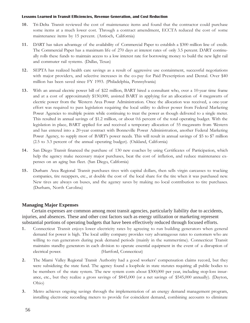- 10. Tri-Delta Transit reviewed the cost of maintenance items and found that the contractor could purchase some items at a much lower cost. Through a contract amendment, ECCTA reduced the cost of some maintenance items by 15 percent. (Antioch, California)
- 11. DART has taken advantage of the availability of Commercial Paper to establish a \$300 million line of credit. The Commercial Paper has a maximum life of 270 days at interest rates of only 3.5 percent. DART continually rolls these funds to maintain access to a low interest rate for borrowing money to build the new light rail and commuter rail systems. (Dallas, Texas)
- 12. SEPTA has realized health care savings as a result of aggressive use containment, successful negotiations with major providers, and selective increases in the co-pay for Paid Prescription and Dental. Over \$40 million has been saved since FY 1993. (Philadelphia, Pennsylvania)
- 13. With an annual electric power bill of \$22 million, BART hired a consultant who, over a 10-year time frame and at a cost of approximately \$150,000, assisted BART in applying for an allocation of 4 megawatts of electric power from the Western Area Power Administration. Once the allocation was received, a one-year effort was required to pass legislation requiring the local utility to deliver power from Federal Marketing Power Agencies to multiple points while continuing to treat the power as though delivered to a single meter. This resulted in annual savings of \$1.2 million, or about 0.6 percent of the total operating budget. With the legislation in place, BART applied for and received a temporary allocation of 55 megawatts from Western and has entered into a 20-year contract with Bonneville Power Administration, another Federal Marketing Power Agency, to supply most of BART's power needs. This will result in annual savings of \$5 to \$7 million (2.5 to 3.3 percent of the annual operating budget). (Oakland, California)
- 14. San Diego Transit financed the purchase of 130 new coaches by using Certificates of Participation, which help the agency make necessary major purchases, beat the cost of inflation, and reduce maintenance expenses on an aging bus fleet. (San Diego, California)
- 15. Durham Area Regional Transit purchases tires with capital dollars, then sells virgin carcasses to trucking companies, tire recappers, etc., at double the cost of the local share for the tire when it was purchased new. New tires are always on buses, and the agency saves by making no local contribution to tire purchases. (Durham, North Carolina)

### **Managing Major Expenses**

Certain expenses are common among most transit agencies, particularly liability due to accidents, injuries, and absences. These and other cost factors such as energy utilization or marketing represent substantial portions of operating budgets that have been effectively reduced through focused efforts.

- 1 . Connecticut Transit enjoys lower electricity rates by agreeing to run building generators when general demand for power is high. The local utility company provides very advantageous rates to customers who are willing to run generators during peak demand periods (mainly in the summertime). Connecticut Transit maintains standby generators in each division to operate essential equipment in the event of a disruption of electrical power. (Hartford, Connecticut)
- 2. The Miami Valley Regional Transit Authority had a good workers' compensation claims record, but they were subsidizing the state fund. The agency found a loophole in state statutes requiring all public bodies to be members of the state system. The new system costs about \$300,000 per year, including stop-loss insurance, etc., but they realize a gross savings of \$845,000 (or a net savings of \$545,000 annually). (Dayton, Ohio)
- 3. Metro achieves ongoing savings through the implementation of an energy demand management program, installing electronic recording meters to provide for coincident demand, combining accounts to eliminate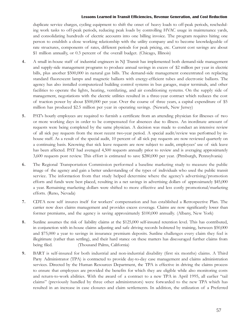duplicate service charges, cycling equipment to shift the onset of heavy loads to off-peak periods, rescheduling work tasks to off-peak periods, reducing peak loads by controlling HVAC usage in maintenance yards, and consolidating hundreds of electric accounts into one billing invoice. The program requires hiring one person to establish a close working relationship with the utility company and to become knowledgeable of rate structures, components of rates, different periods for peak pricing, etc. Current cost savings are about \$1 million annually, or 0.3 percent of the overall budget. (Chicago, Illinois)

- 4. A small in-house staff of industrial engineers in NJ Transit has implemented both demand-side management and supply-side management programs to produce annual savings in excess of \$2 million per year in electric bills, plus another \$500,000 in natural gas bills. The demand-side management concentrated on replacing standard fluorescent lamps and magnetic ballasts with energy-efficient tubes and electronic ballasts. The agency has also installed computerized building control systems in bus garages, major terminals, and other facilities to operate the lights, heating, ventilating, and air conditioning systems. On the supply side of management, negotiations with the electric utilities resulted in a three-year contract which reduces the cost of traction power by about \$500,000 per year. Over the course of three years, a capital expenditure of \$5 million has produced \$2.5 million per year in operating savings. (Newark, New Jersey)
- 5. PATs hourly employees are required to furnish a certificate from an attending physician for illnesses of two or more working days in order to be compensated for absences due to illness. An inordinate amount of requests were being completed by the same physician. A decision was made to conduct an intensive review of all sick pay requests from the most recent two-year period. A special audit/review was performed by inhouse staff. As a result of the special audit, 10 percent of all sick pay requests are now reviewed quarterly on a continuing basis. Knowing that sick leave requests are now subject to audit, employees' use of sick leave has been affected. PAT had averaged 4,500 requests annually prior to review and is averaging approximately 3,600 requests post review. This effort is estimated to save \$280,000 per year. (Pittsburgh, Pennsylvania)
- 6. The Regional Transportation Commission performed a baseline marketing study to measure the public image of the agency and gain a better understanding of the types of individuals who used the public transit service. The information from that study helped determine where the agency's advertising/promotion efforts and funds were best placed, resulting in a net savings in advertising dollars of approximately \$45,000 a year. Remaining marketing dollars were shifted to more effective and less costly promotional/marketing efforts. (Reno, Nevada)
- 7. CDTA now self insures itself for workers' compensation and has established a Retrospective Plan. The carrier now does claims management and provides excess coverage. Claims are now significantly lower than former premiums, and the agency is saving approximately \$100,000 annually. (Albany, New York)
- 8. Sunline assumes the risk of liability claims at the \$125,000 self-insured retention level. This has contributed, in conjunction with in-house claims adjusting and safe driving records bolstered by training, between \$50,000 and \$75,000 a year to savings in insurance premium deposits. Sunline challenges every claim they feel is illegitimate (rather than settling), and their hard stance on these matters has discouraged further claims from being filed. (Thousand Palms, California)
- 9. BART is self-insured for both industrial and non-industrial disability (first six months) claims. A Third Party Administrator (TPA) is contracted to provide day-to-day case management and claims administration services. Directed by the Human Resources Department, the TPA is effective in driving the claims process to ensure that employees are provided the benefits for which they are eligible while also monitoring costs and return-to-work abilities. With the award of a contract to a new TPA in April 1995, all earlier "tail claims (previously handled by three other administrators) were forwarded to the new TPA which has resulted in an increase in case closures and claim settlements. In addition, the utilization of a Preferred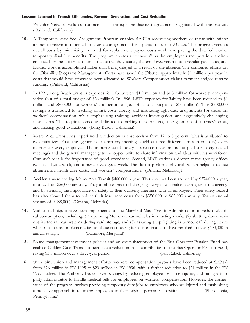Provider Network reduces treatment costs through the discount agreements negotiated with the treaters. (Oakland, California)

- 10. A Temporary Modified Assignment Program enables BART's recovering workers or those with minor injuries to return to modified or alternate assignments for a period of up to 90 days. This program reduces overall costs by minimizing the need for replacement payroll costs while also paying the disabled worker temporary disability benefits. The program creates a "win-win" as the employee's recuperation is often enhanced by the ability to return to an active duty status, the employee returns to a regular pay status, and District work is accomplished rather than being delayed as a result of the absence. The combined efforts on the Disability Programs Management efforts have saved the District approximately \$1 million per year in costs that would have otherwise been allocated to Workers Compensation claims payment and/or reserve funding. (Oakland, California)
- 11. In 1991, Long Beach Transit's expenses for liability were \$1.2 million and \$1.3 million for workers' compensation (out of a total budget of \$26 million). In 1996, LBT's expenses for liability have been reduced to \$1 million and \$800,000 for workers' compensation (out of a total budget of \$36 million). This \$700,000 savings is attributed to tracking all risk costs closely and instituting light duty assignments for those on workers' compensation, while emphasizing training, accident investigation, and aggressively challenging false claims. This requires someone dedicated to tracking these matters, staying on top of attorney's costs, and making good evaluations. (Long Beach, California)
- 12. Metro Area Transit has experienced a reduction in absenteeism from 12 to 8 percent. This is attributed to two initiatives. First, the agency has mandatory meetings (held at three different times in one day) every quarter for every employee. The importance of safety is stressed (overtime is not paid for safety-related meetings) and the general manager gets the opportunity to share information and ideas with his workforce. One such idea is the importance of good attendance. Second, MAT stations a doctor at the agency offices two half-days a week, and a nurse five days a week. The doctor performs physicals which helps to reduce absenteeism, health care costs, and workers' compensation. (Omaha, Nebraska)1
- 13. Accidents were costing Metro Area Transit \$400,000 a year. That cost has been reduced by \$374,000 a year, to a level of \$26,000 annually. They attribute this to challenging every questionable claim against the agency, and by stressing the importance of safety at their quarterly meetings with all employees. Their safety record has also allowed them to reduce their insurance costs from \$350,000 to \$62,000 annually (for an annual savings of \$288,000). (Omaha, Nebraska)
- 14. Various techniques have been implemented at the Maryland Mass Transit Administration to reduce electrical consumption, including: (1) operating Metro rail car vehicles in coasting mode, (2) shutting down various Metro rail car systems during yard storage, and (3) assuring shop lighting is turned off during hours when not in use. Implementation of these cost-saving items is estimated to have resulted in over \$500,000 in annual savings. (Baltimore, Maryland)
- 15. Sound management investment policies and an oversubscription of the Bus Operator Pension Fund has enabled Golden Gate Transit to negotiate a reduction in its contribution to the Bus Operator Pension Fund, saving \$3.5 million over a three-year period. (San Rafael, California)
- 16. With joint union and management efforts, workers' compensation payouts have been reduced at SEPTA from \$26 million in FY 1995 to \$23 million in FY 1996, with a further reduction to \$21 million in the FY 1997 budget. The Authority has achieved savings by reducing employee lost time injuries, and hiring a third party administrator to handle medical bills for employees on workers' compensation. However, the cornerstone of the program involves providing temporary duty jobs to employees who are injured and establishing a proactive approach in returning employees to their original permanent positions. (Philadelphia, Pennsylvania)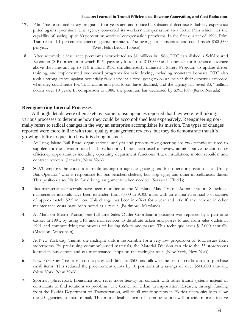- 17. Palm Tran instituted safety programs four years ago and noticed a substantial decrease in liability experience pitted against premium. The agency converted its workers' compensation to a Retro Plan which has the capability of saving up to 80 percent on workers' compensation premiums. In the first quarter of 1996, Palm Tran ran at 1.1 percent experience against premium. The savings are substantial and could reach \$500,000 per year. (West Palm Beach, Florida)
- 18. After automobile insurance premiums skyrocketed to \$1 million in 1986, RTC established a Self-Insured Retention (SIR) program in which RTC pays any loss up to \$100,000 and contracts for insurance coverage above that amount up to \$10 million. RTC simultaneously initiated a Safety Program to update driver training, and implemented two award programs for safe driving, including monetary bonuses. RTC also took a strong stance against potentially false accident claims, going to court even if their expenses exceeded what they could settle for. Total claims and paid losses have declined, and the agency has saved \$3.7 million dollars over 10 years. In comparison to 1988, the premium has decreased by \$395,169. (Reno, Nevada)

### **Reengineering Internal Processes**

Although details were often sketchy, some transit agencies reported that they were re-thinking various processes to determine how they could be accomplished less expensively. Reengineering normally refers to radical changes in the way an enterprise accomplishes its mission. The types of changes reported were more in line with total quality management reviews, but they do demonstrate transit's growing ability to question how it is doing business.

- 1 . At Long Island Rail Road, organizational analysis and process re-engineering are two techniques used to supplement the attrition-based staff reductions. It has been used to review administrative functions for efficiency opportunities including operating department functions (track installation, motor rebuilds) and contract reviews. (Jamaica, New York)
- 2. SCAT employs the concept of multi-tasking through designating one bus operator position as a "Utility" Bus Operator" who is responsible for bus benches, shelters, bus stop signs, and other miscellaneous duties. This position also fills in for driving assignments when needed. (Sarasota, Florida)
- 3. Bus maintenance intervals have been modified at the Maryland Mass Transit Administration. Scheduled maintenance intervals have been extended from 6,000 to 9,000 miles with an estimated annual cost savings of approximately \$2.5 million. This change has been in effect for a year and little if any increase in other maintenance costs have been noted as a result. (Baltimore, Maryland)
- 4. At Madison Metro Transit, one full-time Sales Outlet Coordinator position was replaced by a part-time cashier in 1991, by using UPS and mail services to distribute tickets and passes to and from sales outlets in 1991 and computerizing the process of issuing tickets and passes. This technique saves \$12,000 annually. (Madison, Wisconsin)
- 5. At New York City Transit, the midnight shift is responsible for a very low proportion of total issues from storerooms. By pre-issuing commonly-used materials, the Material Division can close the 33 storerooms located in bus depots and car maintenance shops on the midnight tour. (New York, New York)
- 6. New York City Transit raised the petty cash limit to \$500 and allowed the use of credit cards to purchase small items. This reduced the procurement quota by 10 positions at a savings of over \$600,000 annually. (New York, New York)
- 7. Sportran (Shreveport, Louisiana) now relies more heavily on contacts with other transit systems instead of consultants to find solutions to problems. The Center for Urban Transportation Research, through funding from the Florida Department of Transportation, will tie all transit systems in Florida electronically to allow the 20 agencies to share e-mail. This more flexible form of communication will provide more effective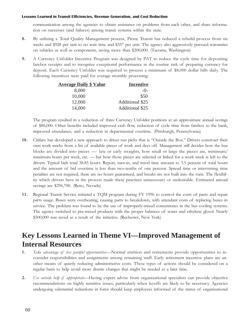communication among the agencies to obtain assistance on problems from each other, and share information on successes (and failures) among transit systems within the state.

- 8. By utilizing a Total Quality Management process, Pierce Transit has reduced a rebuild process from six weeks and \$928 per unit to no wait time and \$357 per unit. The agency also aggressively pursued warranties on vehicles as well as components, saving more than \$200,000. (Tacoma, Washington)
- 9. A Currency Unfolder Incentive Program was designed by PAT to reduce the cycle time for depositing farebox receipts and to recognize exceptional performance in the routine task of preparing currency for deposit. Each Currency Unfolder was required to process a minimum of \$8,000 dollar bills daily. The following incentives were paid for average monthly processing:

| <b>Average Daily \$ Value</b> | <b>Incentive</b> |
|-------------------------------|------------------|
| 8,000                         | $-()$            |
| 10,000                        | \$50             |
| 12,000                        | Additional \$25  |
| 14,000                        | Additional \$25  |

The program resulted in a reduction of three Currency Unfolder positions at an approximate annual savings of \$86,000. Other benefits included improved cash flow, reduction of cycle time from farebox to the bank, improved attendance, and a reduction in departmental overtime. (Pittsburgh, Pennsylvania)

- 10. Citifare has developed a new approach to driver run picks that is "Outside the Box." Drivers construct their own work weeks from a list of available pieces of work and days off. Management still decides how the bus blocks are divided into pieces — late or early straights, how small or large the pieces are, minimum/ maximum hours per week, etc. — but how those pieces are selected or linked for a work week is left to the drivers. Typical bids total 38.85 hours. Report, turn-in, and travel time amount to 3.5 percent of total hours and the amount of bid overtime is less than two-tenths of one percent. Spread time or intervening time penalties are not required, there are no hours guaranteed, and breaks are not built into the runs. The flexibility which drivers have in the process made these practices unnecessary or undesirable. Estimated annual savings are \$296,700. (Reno, Nevada)
- 11. Regional Transit Service initiated a TQM program during FY 1996 to control the costs of parts and repair parts usage. Buses were overheating, causing parts to breakdown, with attendant costs of replacing buses in service. The problem was found to be the use of improperly-mixed concentrates in the bus cooling systems. The agency switched to pre-mixed products with the proper balances of water and ethylene glycol. Nearly \$500,000 was saved as a result of the initiative. (Rochester, New York)

### **Key Lessons Learned in Theme VI—Improved Management of Internal Resources**

- 1. Take advantage of less painful opportunities—Normal attrition and retirements provide opportunities to reconsider responsibilities and assignments among remaining staff. Early retirement incentive plans are another means of quietly reducing administrative costs. These types of actions should be considered on a regular basis to help avoid more drastic changes that might be needed at a later time.
- 2. Use outside help if appropriate—Having expert advise from organizational specialists can provide objective recommendations on highly sensitive issues, particularly when layoffs are likely to be necessary. Agencies undergoing substantial reductions in force should keep employees informed of the status of organizational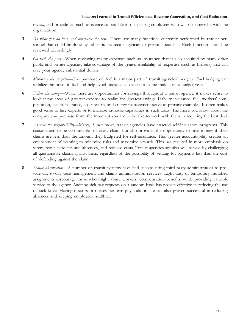review, and provide as much assistance as possible in out-placing employees who will no longer be with the organization.

- 3. Do what you do best, and outsource the rest-There are many functions currently performed by transit personnel that could be done by other public sector agencies or private specialists. Each function should be reviewed accordingly.
- 4. Go with the pros—When reviewing major expenses such as insurance that is also acquired by many other public and private agencies, take advantage of the greater availability of expertise (such as brokers) that can save your agency substantial dollars.
- 5. Minimize the surprise—The purchase of fuel is a major part of transit agencies' budgets. Fuel hedging can stabilize the price of fuel and help avoid unexpected expenses in the middle of a budget year.
- 6. Follow the money—While there are opportunities for savings throughout a transit agency, it makes sense to look at the areas of greatest expense to realize the greatest savings. Liability insurance, fuel, workers' compensation, health insurance, absenteeism, and energy management serve as primary examples. It often makes good sense to hire experts or to increase in-house capabilities in such areas. The more you know about the company you purchase from, the more apt you are to be able to work with them in acquiring the best deal.
- 7. Assume the responsibility—Many, if not most, transit agencies have enacted self-insurance programs. This causes them to be accountable for every claim, but also provides the opportunity to save money if their claims are less than the amount they budgeted for self-insurance. This greater accountability creates an environment of wanting to minimize risks and maximize rewards. This has resulted in more emphasis on safety, fewer accidents and absences, and reduced costs. Transit agencies are also well served by challenging all questionable claims against them, regardless of the possibility of settling for payments less than the cost of defending against the claim.
- 8. Reduce absenteeism-A number of transit systems have had success using third party administrators to provide day-to-day case management and claims administration services. Light duty or temporary modified assignments discourage those who might abuse workers' compensation benefits, while providing valuable service to the agency. Auditing sick pay requests on a random basis has proven effective in reducing the use of sick leave. Having doctors or nurses perform physicals on-site has also proven successful in reducing absences and keeping employees healthier.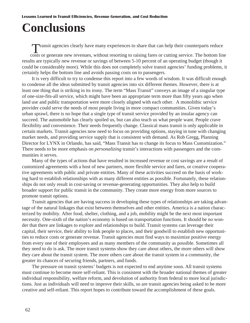# **Conclusions**

Transit agencies clearly have many experiences to share that can help their counterparts reduce

costs or generate new revenues, without resorting to raising fares or cutting service. The bottom line results are typically new revenue or savings of between 5-10 percent of an operating budget (though it could be considerably more). While this does not completely solve transit agencies' funding problems, it certainly helps the bottom line and avoids passing costs on to passengers.

It is very difficult to try to condense this report into a few words of wisdom. It was difficult enough to condense all the ideas submitted by transit agencies into six different themes. However, there is at least one thing that is striking in its irony. The term "Mass Transit" conveys an image of a singular type of one-size-fits-all service, which might have been an appropriate term more than fifty years ago when land use and public transportation were more closely aligned with each other. A monolithic service provider could serve the needs of most people living in more compact communities. Given today's urban sprawl, there is no hope that a single type of transit service provided by an insular agency can succeed. The automobile has clearly spoiled us, but can also teach us what people want. People crave flexibility and convenience. Their needs frequently change. Classical mass transit is only applicable in certain markets. Transit agencies now need to focus on providing options, staying in tune with changing market needs, and providing service supply that is consistent with demand. As Rob Gregg, Planning Director for LYNX in Orlando, has said, "Mass Transit has to change its focus to Mass Customization." There needs to be more emphasis on *personalizing* transit's interactions with passengers and the communities it serves.

Many of the types of actions that have resulted in increased revenue or cost savings are a result of customized agreements with a host of new partners, more flexible service and fares, or creative cooperative agreements with public and private entities. Many of these activities succeed on the basis of working hard to establish relationships with as many different entities as possible. Fortunately, these relationships do not only result in cost-saving or revenue-generating opportunities. They also help to build broader support for public transit in the community. They create more energy from more sources to promote transit options.

Transit agencies that are having success in developing these types of relationships are taking advantage of the natural linkages that exist between themselves and other entities. America is a nation characterized by mobility. After food, shelter, clothing, and a job, mobility might be the next most important necessity. One-sixth of the nation's economy is based on transportation functions. It should be no wonder that there are linkages to explore and relationships to build. Transit systems can leverage their capital, their service, their ability to link people to places, and their goodwill to establish new opportunities to reduce costs or generate revenue. Transit agencies must find ways to maximize positive energy from every one of their employees and as many members of the community as possible. Sometimes all they need to do is ask. The more transit systems show they care about others, the more others will show they care about the transit system. The more others care about the transit system in a community, the greater its chances of securing friends, partners, and funds.

The pressure on transit systems' budgets is not expected to end anytime soon. All transit systems must continue to become more self-reliant. This is consistent with the broader national themes of greater individual responsibility, welfare reform, and devolution of authority from federal to more local jurisdictions. Just as individuals will need to improve their skills, so are transit agencies being asked to be more creative and self-reliant. This report hopes to contribute toward the accomplishment of these goals.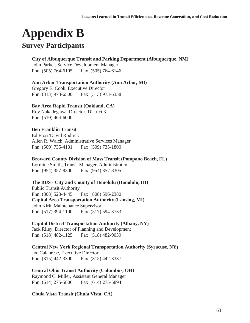# **Appendix B**

### **Survey Participants**

### **City of Albuquerque Transit and Parking Department (Albuquerque, NM)**

John Parker, Service Development Manager Phn. (505) 764-6105 Fax (505) 764-6146

### **Ann Arbor Transportation Authority (Ann Arbor, MI)**

Gregory E. Cook, Executive Director Phn. (313) 973-6500 Fax (313) 973-6338

### **Bay Area Rapid Transit (Oakland, CA)**

Roy Nakadegawa, Director, District 3 Phn. (510) 464-6000

### **Ben Franklin Transit**

Ed Frost/David Rodrick Allen R. Walch, Administrative Services Manager Phn. (509) 735-4131 Fax (509) 735-1800

### **Broward County Division of Mass Transit (Pompano Beach, FL)**

Lorraine Smith, Transit Manager, Administration Phn. (954) 357-8300 Fax (954) 357-8305

### **The BUS - City and County of Honolulu (Honolulu, HI)**

Public Transit Authority Phn. (808) 523-4445 Fax (808) 596-2380 **Capital Area Transportation Authority (Lansing, MI)** John Kirk, Maintenance Supervisor Phn. (517) 394-1100 Fax (517) 594-3733

### **Capital District Transportation Authority (Albany, NY)**

Jack Riley, Director of Planning and Development Phn. (518) 482-1125 Fax (518) 482-9039

### **Central New York Regional Transportation Authority (Syracuse, NY)**

Joe Calabrese, Executive Director Phn. (315) 442-3300 Fax (315) 442-3337

### **Central Ohio Transit Authority (Columbus, OH)**

Raymond C. Miller, Assistant General Manager Phn. (614) 275-5806 Fax (614) 275-5894

### **Chula Vista Transit (Chula Vista, CA)**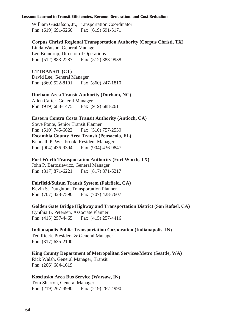William Gustafson, Jr., Transportation Coordinator Phn. (619) 691-5260 Fax (619) 691-5171

### **Corpus Christi Regional Transportation Authority (Corpus Christi, TX)**

Linda Watson, General Manager Len Brandrup, Director of Operations Phn. (512) 883-2287 Fax (512) 883-9938

### **CTTRANSIT (CT)**

David Lee, General Manager Phn. (860) 522-8101 Fax (860) 247-1810

### **Durham Area Transit Authority (Durham, NC)**

Allen Carter, General Manager Phn. (919) 688-1475 Fax (919) 688-2611

### **Eastern Contra Costa Transit Authority (Antioch, CA)**

Steve Ponte, Senior Transit Planner Phn. (510) 745-6622 Fax (510) 757-2530 **Escambia County Area Transit (Pensacola, FL)** Kenneth P. Westbrook, Resident Manager Phn. (904) 436-9394 Fax (904) 436-9847

### **Fort Worth Transportation Authority (Fort Worth, TX)**

John P. Bartosiewicz, General Manager Phn. (817) 871-6221 Fax (817) 871-6217

### **Fairfield/Suisun Transit System (Fairfield, CA)**

Kevin S. Daughton, Transportation Planner Phn. (707) 428-7590 Fax (707) 428-7607

**Golden Gate Bridge Highway and Transportation District (San Rafael, CA)**

Cynthia B. Petersen, Associate Planner Phn. (415) 257-4465 Fax (415) 257-4416

### **Indianapolis Public Transportation Corporation (Indianapolis, IN)**

Ted Rieck, President & General Manager Phn. (317) 635-2100

### **King County Department of Metropolitan Services/Metro (Seattle, WA)**

Rick Walsh, General Manager, Transit Phn. (206) 684-1619

### **Kosciusko Area Bus Service (Warsaw, IN)**

Tom Sherron, General Manager Phn. (219) 267-4990 Fax (219) 267-4990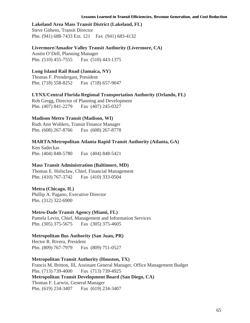### **Lakeland Area Mass Transit District (Lakeland, FL)**

Steve Githens, Transit Director Phn. (941) 688-7433 Ext. 121 Fax (941) 683-4132

### **Livermore/Amador Valley Transit Authority (Livermore, CA)**

Austin O'Dell, Planning Manager Phn. (510) 455-7555 Fax (510) 443-1375

### **Long Island Rail Road (Jamaica, NY)**

Thomas F. Prendergast, President Phn. (718) 558-8252 Fax (718) 657-9047

### **LYNX/Central Florida Regional Transportation Authority (Orlando, FL)**

Rob Gregg, Director of Planning and Development Phn. (407) 841-2279 Fax (407) 245-0327

### **Madison Metro Transit (Madison, WI)**

Ruth Ann Wohlers, Transit Finance Manager Phn. (608) 267-8766 Fax (608) 267-8778

### **MARTA/Metropolitan Atlanta Rapid Transit Authority (Atlanta, GA)**

Ken Sadeckas Phn. (404) 848-5780 Fax (404) 848-5421

### **Mass Transit Administration (Baltimore, MD)**

Thomas E. Holsclaw, Chief, Financial Management Phn. (410) 767-3742 Fax (410) 333-0504

### **Metra (Chicago, IL)**

Phillip A. Pagano, Executive Director Phn. (312) 322-6900

### **Metro-Dade Transit Agency (Miami, FL)**

Pamela Levin, Chief, Management and Information Services Phn. (305) 375-5675 Fax (305) 375-4605

### **Metropolitan Bus Authority (San Juan, PR)**

Hector R. Rivera, President Phn. (809) 767-7979 Fax (809) 751-0527

### **Metropolitan Transit Authority (Houston, TX)**

Francis M. Britton, III, Assistant General Manager, Office Management Budget Phn. (713) 739-4000 Fax (713) 739-4925 **Metropolitan Transit Development Board (San Diego, CA)** Thomas F. Larwin, General Manager Phn. (619) 234-3407 Fax (619) 234-3407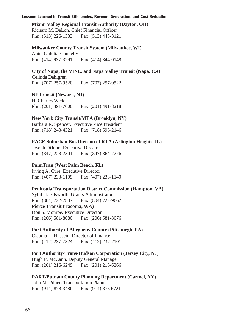### **Miami Valley Regional Transit Authority (Dayton, OH)** Richard M. DeLon, Chief Financial Officer

Phn. (513) 226-1333 Fax (513) 443-3121

### **Milwaukee County Transit System (Milwaukee, WI)**

Anita Gulotta-Connelly Phn. (414) 937-3291 Fax (414) 344-0148

### **City of Napa, the VINE, and Napa Valley Transit (Napa, CA)**

Celinda Dahlgren Phn. (707) 257-9520 Fax (707) 257-9522

**NJ Transit (Newark, NJ)** H. Charles Wedel Phn. (201) 491-7000 Fax (201) 491-8218

### **New York City Transit/MTA (Brooklyn, NY)**

Barbara R. Spencer, Executive Vice President Phn. (718) 243-4321 Fax (718) 596-2146

### **PACE Suburban Bus Division of RTA (Arlington Heights, IL)**

Joseph DiJohn, Executive Director Phn. (847) 228-2301 Fax (847) 364-7276

### **PalmTran (West Palm Beach, FL)**

Irving A. Cure, Executive Director Phn. (407) 233-1199 Fax (407) 233-1140

### **Peninsula Transportation District Commission (Hampton, VA)**

Sybil H. Ellsworth, Grants Administrator Phn. (804) 722-2837 Fax (804) 722-9662 **Pierce Transit (Tacoma, WA)** Don S. Monroe, Executive Director Phn. (206) 581-8080 Fax (206) 581-8076

### **Port Authority of Allegheny County (Pittsburgh, PA)**

Claudia L. Hussein, Director of Finance Phn. (412) 237-7324 Fax (412) 237-7101

### **Port Authority/Trans-Hudson Corporation (Jersey City, NJ)**

Hugh P. McCann, Deputy General Manager Phn. (201) 216-6249 Fax (201) 216-6266

### **PART/Putnam County Planning Department (Carmel, NY)**

John M. Pilner, Transportation Planner Phn. (914) 878-3480 Fax (914) 878 6721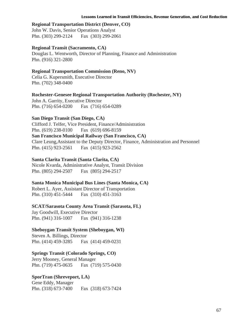### **Regional Transportation District (Denver, CO)**

John W. Davis, Senior Operations Analyst Phn. (303) 299-2124 Fax (303) 299-2061

### **Regional Transit (Sacramento, CA)**

Douglas L. Wentworth, Director of Planning, Finance and Administration Phn. (916) 321-2800

### **Regional Transportation Commission (Reno, NV)**

Celia G. Kupersmith, Executive Director Phn. (702) 348-0400

**Rochester-Genesee Regional Transportation Authority (Rochester, NY)**

John A. Garrity, Executive Director Phn. (716) 654-0200 Fax (716) 654-0289

### **San Diego Transit (San Diego, CA)**

Clifford J. Telfer, Vice President, Finance/Administration Phn. (619) 238-0100 Fax (619) 696-8159 **San Francisco Municipal Railway (San Francisco, CA)** Clare Leung,Assistant to the Deputy Director, Finance, Administration and Personnel Phn. (415) 923-2561 Fax (415) 923-2562

### **Santa Clarita Transit (Santa Clarita, CA)**

Nicole Kvarda, Administrative Analyst, Transit Division Phn. (805) 294-2507 Fax (805) 294-2517

### **Santa Monica Municipal Bus Lines (Santa Monica, CA)**

Robert L. Ayer, Assistant Director of Transportation Phn. (310) 451-5444 Fax (310) 451-3163

### **SCAT/Sarasota County Area Transit (Sarasota, FL)**

Jay Goodwill, Executive Director Phn. (941) 316-1007 Fax (941) 316-1238

### **Sheboygan Transit System (Sheboygan, WI)**

Steven A. Billings, Director Phn. (414) 459-3285 Fax (414) 459-0231

### **Springs Transit (Colorado Springs, CO)**

Jerry Mooney, General Manager Phn. (719) 475-0635 Fax (719) 575-0430

### **SporTran (Shreveport, LA)**

Gene Eddy, Manager Phn. (318) 673-7400 Fax (318) 673-7424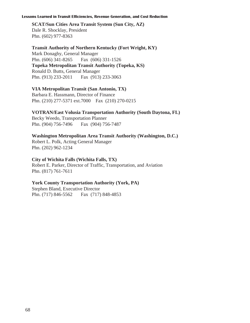**SCAT/Sun Cities Area Transit System (Sun City, AZ)** Dale R. Shocklay, President Phn. (602) 977-8363

### **Transit Authority of Northern Kentucky (Fort Wright, KY)**

Mark Donaghy, General Manager Phn. (606) 341-8265 Fax (606) 331-1526 **Topeka Metropolitan Transit Authority (Topeka, KS)** Ronald D. Butts, General Manager Phn. (913) 233-2011 Fax (913) 233-3063

### **VIA Metropolitan Transit (San Antonio, TX)**

Barbara E. Hassmann, Director of Finance Phn. (210) 277-5371 ext.7000 Fax (210) 270-0215

### **VOTRAN/East Volusia Transportation Authority (South Daytona, FL)**

Becky Weedo, Transportation Planner Phn. (904) 756-7496 Fax (904) 756-7487

### **Washington Metropolitan Area Transit Authority (Washington, D.C.)**

Robert L. Polk, Acting General Manager Phn. (202) 962-1234

### **City of Wichita Falls (Wichita Falls, TX)**

Robert E. Parker, Director of Traffic, Transportation, and Aviation Phn. (817) 761-7611

### **York County Transportation Authority (York, PA)**

Stephen Bland, Executive Director Phn. (717) 846-5562 Fax (717) 848-4853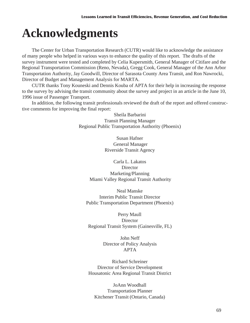# **Acknowledgments**

The Center for Urban Transportation Research (CUTR) would like to acknowledge the assistance of many people who helped in various ways to enhance the quality of this report. The drafts of the survey instrument were tested and completed by Celia Kupersmith, General Manager of Citifare and the Regional Transportation Commission (Reno, Nevada), Gregg Cook, General Manager of the Ann Arbor Transportation Authority, Jay Goodwill, Director of Sarasota County Area Transit, and Ron Nawrocki, Director of Budget and Management Analysis for MARTA.

CUTR thanks Tony Kouneski and Dennis Kouba of APTA for their help in increasing the response to the survey by advising the transit community about the survey and project in an article in the June 10, 1996 issue of Passenger Transport.

In addition, the following transit professionals reviewed the draft of the report and offered constructive comments for improving the final report:

> Sheila Barbarini Transit Planning Manager Regional Public Transportation Authority (Phoenix)

> > Susan Hafner General Manager Riverside Transit Agency

Carla L. Lakatos Director Marketing/Planning Miami Valley Regional Transit Authority

Neal Manske Interim Public Transit Director Public Transportation Department (Phoenix)

Perry Maull Director Regional Transit System (Gainesville, FL)

> John Neff Director of Policy Analysis APTA

Richard Schreiner Director of Service Development Housatonic Area Regional Transit District

JoAnn Woodhall Transportation Planner Kitchener Transit (Ontario, Canada)